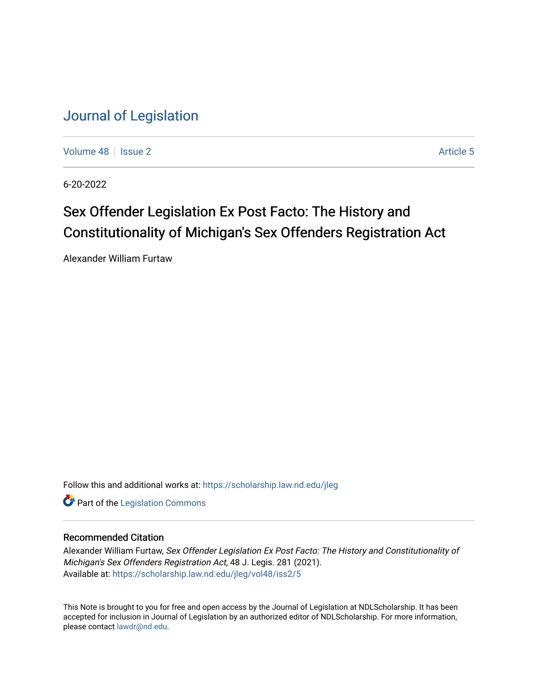[Volume 48](https://scholarship.law.nd.edu/jleg/vol48) | [Issue 2](https://scholarship.law.nd.edu/jleg/vol48/iss2) Article 5

6-20-2022

# Sex Offender Legislation Ex Post Facto: The History and Constitutionality of Michigan's Sex Offenders Registration Act

Alexander William Furtaw

Follow this and additional works at: [https://scholarship.law.nd.edu/jleg](https://scholarship.law.nd.edu/jleg?utm_source=scholarship.law.nd.edu%2Fjleg%2Fvol48%2Fiss2%2F5&utm_medium=PDF&utm_campaign=PDFCoverPages) 

**Part of the [Legislation Commons](https://network.bepress.com/hgg/discipline/859?utm_source=scholarship.law.nd.edu%2Fjleg%2Fvol48%2Fiss2%2F5&utm_medium=PDF&utm_campaign=PDFCoverPages)** 

# Recommended Citation

Alexander William Furtaw, Sex Offender Legislation Ex Post Facto: The History and Constitutionality of Michigan's Sex Offenders Registration Act, 48 J. Legis. 281 (2021). Available at: [https://scholarship.law.nd.edu/jleg/vol48/iss2/5](https://scholarship.law.nd.edu/jleg/vol48/iss2/5?utm_source=scholarship.law.nd.edu%2Fjleg%2Fvol48%2Fiss2%2F5&utm_medium=PDF&utm_campaign=PDFCoverPages) 

This Note is brought to you for free and open access by the Journal of Legislation at NDLScholarship. It has been accepted for inclusion in Journal of Legislation by an authorized editor of NDLScholarship. For more information, please contact [lawdr@nd.edu](mailto:lawdr@nd.edu).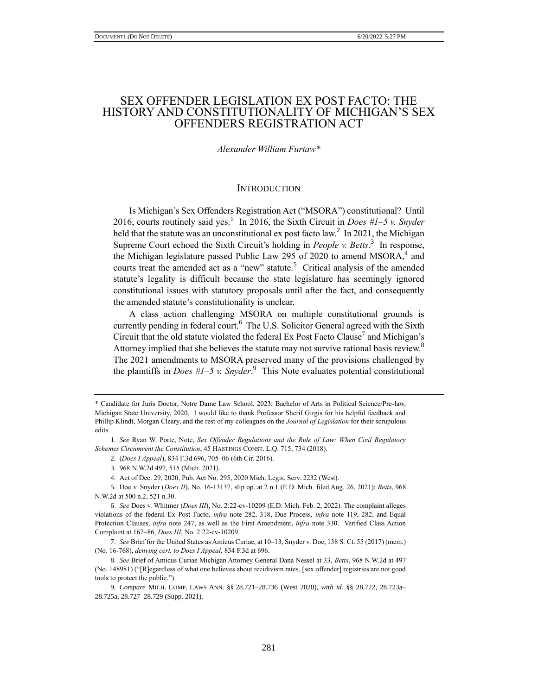# SEX OFFENDER LEGISLATION EX POST FACTO: THE HISTORY AND CONSTITUTIONALITY OF MICHIGAN'S SEX OFFENDERS REGISTRATION ACT

## *Alexander William Furtaw\**

## **INTRODUCTION**

Is Michigan's Sex Offenders Registration Act ("MSORA") constitutional? Until 2016, courts routinely said yes.<sup>1</sup> In 2016, the Sixth Circuit in *Does #1–5 v. Snyder* held that the statute was an unconstitutional ex post facto law.<sup>2</sup> In 2021, the Michigan Supreme Court echoed the Sixth Circuit's holding in *People v. Betts*.<sup>3</sup> In response, the Michigan legislature passed Public Law 295 of 2020 to amend  $MSORA$ ,<sup>4</sup> and courts treat the amended act as a "new" statute.<sup>5</sup> Critical analysis of the amended statute's legality is difficult because the state legislature has seemingly ignored constitutional issues with statutory proposals until after the fact, and consequently the amended statute's constitutionality is unclear.

A class action challenging MSORA on multiple constitutional grounds is currently pending in federal court.<sup>6</sup> The U.S. Solicitor General agreed with the Sixth Circuit that the old statute violated the federal Ex Post Facto Clause<sup>7</sup> and Michigan's Attorney implied that she believes the statute may not survive rational basis review.<sup>8</sup> The 2021 amendments to MSORA preserved many of the provisions challenged by the plaintiffs in *Does #1–5 v. Snyder*. 9 This Note evaluates potential constitutional

<sup>\*</sup> Candidate for Juris Doctor, Notre Dame Law School, 2023; Bachelor of Arts in Political Science/Pre-law, Michigan State University, 2020. I would like to thank Professor Sherif Girgis for his helpful feedback and Phillip Klindt, Morgan Cleary, and the rest of my colleagues on the *Journal of Legislation* for their scrupulous edits.

<sup>1.</sup> *See* Ryan W. Porte, Note, *Sex Offender Regulations and the Rule of Law: When Civil Regulatory Schemes Circumvent the Constitution*, 45 HASTINGS CONST. L.Q. 715, 734 (2018).

<sup>2.</sup> (*Does I Appeal*), 834 F.3d 696, 705–06 (6th Cir. 2016).

<sup>3.</sup> 968 N.W.2d 497, 515 (Mich. 2021).

<sup>4.</sup> Act of Dec. 29, 2020, Pub. Act No. 295, 2020 Mich. Legis. Serv. 2232 (West).

<sup>5.</sup> Doe v. Snyder (*Does II*), No. 16-13137, slip op. at 2 n.1 (E.D. Mich. filed Aug. 26, 2021); *Betts*, 968 N.W.2d at 500 n.2, 521 n.30.

<sup>6.</sup> *See* Does v. Whitmer (*Does III*), No. 2:22-cv-10209 (E.D. Mich. Feb. 2, 2022). The complaint alleges violations of the federal Ex Post Facto, *infra* note 282, 318, Due Process, *infra* note 119, 282, and Equal Protection Clauses, *infra* note 247, as well as the First Amendment, *infra* note 330. Verified Class Action Complaint at 167–86, *Does III*, No. 2:22-cv-10209.

<sup>7.</sup> *See* Brief for the United States as Amicus Curiae, at 10–13, Snyder v. Doe, 138 S. Ct. 55 (2017) (mem.) (No. 16-768), *denying cert. to Does I Appeal*, 834 F.3d at 696.

<sup>8.</sup> *See* Brief of Amicus Curiae Michigan Attorney General Dana Nessel at 33, *Betts*, 968 N.W.2d at 497 (No. 148981) ("[R]egardless of what one believes about recidivism rates, [sex offender] registries are not good tools to protect the public.").

<sup>9.</sup> *Compare* MICH. COMP. LAWS ANN. §§ 28.721–28.736 (West 2020), *with id.* §§ 28.722, 28.723a– 28.725a, 28.727–28.729 (Supp. 2021).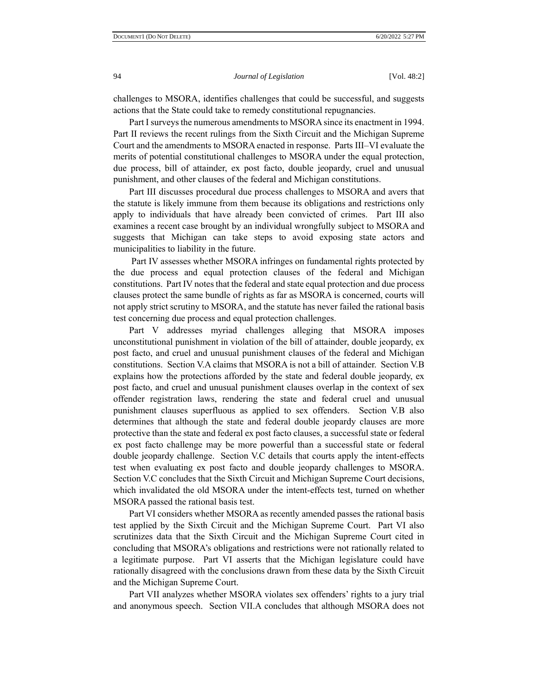challenges to MSORA, identifies challenges that could be successful, and suggests actions that the State could take to remedy constitutional repugnancies.

Part I surveys the numerous amendments to MSORA since its enactment in 1994. Part II reviews the recent rulings from the Sixth Circuit and the Michigan Supreme Court and the amendments to MSORA enacted in response. Parts III–VI evaluate the merits of potential constitutional challenges to MSORA under the equal protection, due process, bill of attainder, ex post facto, double jeopardy, cruel and unusual punishment, and other clauses of the federal and Michigan constitutions.

Part III discusses procedural due process challenges to MSORA and avers that the statute is likely immune from them because its obligations and restrictions only apply to individuals that have already been convicted of crimes. Part III also examines a recent case brought by an individual wrongfully subject to MSORA and suggests that Michigan can take steps to avoid exposing state actors and municipalities to liability in the future.

Part IV assesses whether MSORA infringes on fundamental rights protected by the due process and equal protection clauses of the federal and Michigan constitutions. Part IV notes that the federal and state equal protection and due process clauses protect the same bundle of rights as far as MSORA is concerned, courts will not apply strict scrutiny to MSORA, and the statute has never failed the rational basis test concerning due process and equal protection challenges.

Part V addresses myriad challenges alleging that MSORA imposes unconstitutional punishment in violation of the bill of attainder, double jeopardy, ex post facto, and cruel and unusual punishment clauses of the federal and Michigan constitutions. Section V.A claims that MSORA is not a bill of attainder. Section V.B explains how the protections afforded by the state and federal double jeopardy, ex post facto, and cruel and unusual punishment clauses overlap in the context of sex offender registration laws, rendering the state and federal cruel and unusual punishment clauses superfluous as applied to sex offenders. Section V.B also determines that although the state and federal double jeopardy clauses are more protective than the state and federal ex post facto clauses, a successful state or federal ex post facto challenge may be more powerful than a successful state or federal double jeopardy challenge. Section V.C details that courts apply the intent-effects test when evaluating ex post facto and double jeopardy challenges to MSORA. Section V.C concludes that the Sixth Circuit and Michigan Supreme Court decisions, which invalidated the old MSORA under the intent-effects test, turned on whether MSORA passed the rational basis test.

Part VI considers whether MSORA as recently amended passes the rational basis test applied by the Sixth Circuit and the Michigan Supreme Court. Part VI also scrutinizes data that the Sixth Circuit and the Michigan Supreme Court cited in concluding that MSORA's obligations and restrictions were not rationally related to a legitimate purpose. Part VI asserts that the Michigan legislature could have rationally disagreed with the conclusions drawn from these data by the Sixth Circuit and the Michigan Supreme Court.

Part VII analyzes whether MSORA violates sex offenders' rights to a jury trial and anonymous speech. Section VII.A concludes that although MSORA does not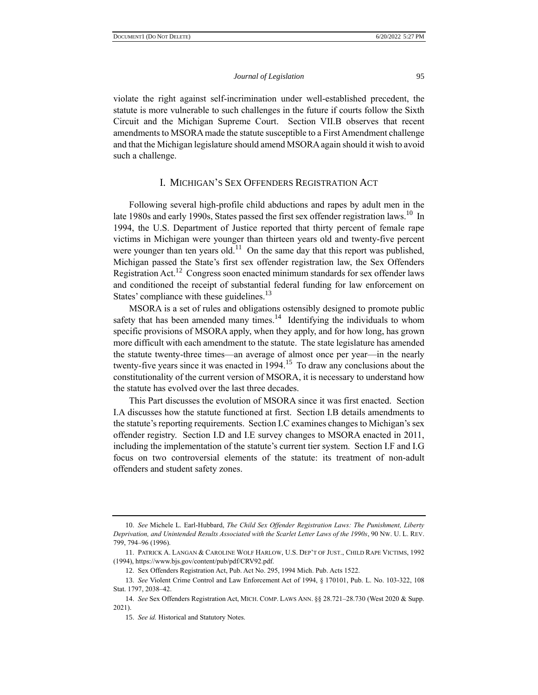violate the right against self-incrimination under well-established precedent, the statute is more vulnerable to such challenges in the future if courts follow the Sixth Circuit and the Michigan Supreme Court. Section VII.B observes that recent amendments to MSORA made the statute susceptible to a First Amendment challenge and that the Michigan legislature should amend MSORA again should it wish to avoid such a challenge.

## I. MICHIGAN'S SEX OFFENDERS REGISTRATION ACT

Following several high-profile child abductions and rapes by adult men in the late 1980s and early 1990s, States passed the first sex offender registration laws.<sup>10</sup> In 1994, the U.S. Department of Justice reported that thirty percent of female rape victims in Michigan were younger than thirteen years old and twenty-five percent were younger than ten years old.<sup>11</sup> On the same day that this report was published, Michigan passed the State's first sex offender registration law, the Sex Offenders Registration Act.<sup>12</sup> Congress soon enacted minimum standards for sex offender laws and conditioned the receipt of substantial federal funding for law enforcement on States' compliance with these guidelines.<sup>13</sup>

MSORA is a set of rules and obligations ostensibly designed to promote public safety that has been amended many times.<sup>14</sup> Identifying the individuals to whom specific provisions of MSORA apply, when they apply, and for how long, has grown more difficult with each amendment to the statute. The state legislature has amended the statute twenty-three times—an average of almost once per year—in the nearly twenty-five years since it was enacted in  $1994$ .<sup>15</sup> To draw any conclusions about the constitutionality of the current version of MSORA, it is necessary to understand how the statute has evolved over the last three decades.

This Part discusses the evolution of MSORA since it was first enacted. Section I.A discusses how the statute functioned at first. Section I.B details amendments to the statute's reporting requirements. Section I.C examines changes to Michigan's sex offender registry. Section I.D and I.E survey changes to MSORA enacted in 2011, including the implementation of the statute's current tier system. Section I.F and I.G focus on two controversial elements of the statute: its treatment of non-adult offenders and student safety zones.

<sup>10.</sup> *See* Michele L. Earl-Hubbard, *The Child Sex Offender Registration Laws: The Punishment, Liberty Deprivation, and Unintended Results Associated with the Scarlet Letter Laws of the 1990s*, 90 NW. U. L. REV. 799, 794–96 (1996).

<sup>11.</sup> PATRICK A. LANGAN & CAROLINE WOLF HARLOW, U.S. DEP'T OF JUST., CHILD RAPE VICTIMS, 1992 (1994), https://www.bjs.gov/content/pub/pdf/CRV92.pdf.

<sup>12.</sup> Sex Offenders Registration Act, Pub. Act No. 295, 1994 Mich. Pub. Acts 1522.

<sup>13.</sup> *See* Violent Crime Control and Law Enforcement Act of 1994, § 170101, Pub. L. No. 103-322, 108 Stat. 1797, 2038–42.

<sup>14.</sup> *See* Sex Offenders Registration Act, MICH. COMP. LAWS ANN. §§ 28.721–28.730 (West 2020 & Supp. 2021).

<sup>15.</sup> *See id.* Historical and Statutory Notes.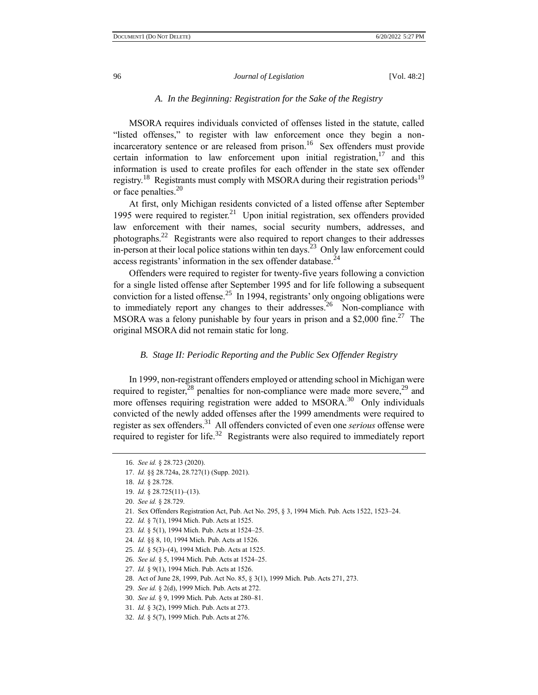### *A. In the Beginning: Registration for the Sake of the Registry*

MSORA requires individuals convicted of offenses listed in the statute, called "listed offenses," to register with law enforcement once they begin a nonincarceratory sentence or are released from prison.<sup>16</sup> Sex offenders must provide certain information to law enforcement upon initial registration, $17$  and this information is used to create profiles for each offender in the state sex offender registry.<sup>18</sup> Registrants must comply with MSORA during their registration periods<sup>19</sup> or face penalties.<sup>20</sup>

At first, only Michigan residents convicted of a listed offense after September 1995 were required to register.<sup>21</sup> Upon initial registration, sex offenders provided law enforcement with their names, social security numbers, addresses, and photographs.<sup>22</sup> Registrants were also required to report changes to their addresses in-person at their local police stations within ten days.<sup>23</sup> Only law enforcement could access registrants' information in the sex offender database.<sup>24</sup>

Offenders were required to register for twenty-five years following a conviction for a single listed offense after September 1995 and for life following a subsequent conviction for a listed offense.<sup>25</sup> In 1994, registrants' only ongoing obligations were to immediately report any changes to their addresses.<sup>26</sup> Non-compliance with MSORA was a felony punishable by four years in prison and a \$2,000 fine.<sup>27</sup> The original MSORA did not remain static for long.

#### *B. Stage II: Periodic Reporting and the Public Sex Offender Registry*

In 1999, non-registrant offenders employed or attending school in Michigan were required to register,<sup>28</sup> penalties for non-compliance were made more severe,<sup>29</sup> and more offenses requiring registration were added to MSORA.<sup>30</sup> Only individuals convicted of the newly added offenses after the 1999 amendments were required to register as sex offenders.<sup>31</sup> All offenders convicted of even one *serious* offense were required to register for life.<sup>32</sup> Registrants were also required to immediately report

28. Act of June 28, 1999, Pub. Act No. 85, § 3(1), 1999 Mich. Pub. Acts 271, 273.

<sup>16.</sup> *See id.* § 28.723 (2020).

<sup>17.</sup> *Id.* §§ 28.724a, 28.727(1) (Supp. 2021).

<sup>18.</sup> *Id.* § 28.728.

<sup>19.</sup> *Id.* § 28.725(11)–(13).

<sup>20.</sup> *See id.* § 28.729.

<sup>21.</sup> Sex Offenders Registration Act, Pub. Act No. 295, § 3, 1994 Mich. Pub. Acts 1522, 1523–24.

<sup>22.</sup> *Id.* § 7(1), 1994 Mich. Pub. Acts at 1525.

<sup>23.</sup> *Id.* § 5(1), 1994 Mich. Pub. Acts at 1524–25.

<sup>24.</sup> *Id.* §§ 8, 10, 1994 Mich. Pub. Acts at 1526.

<sup>25.</sup> *Id.* § 5(3)–(4), 1994 Mich. Pub. Acts at 1525.

<sup>26.</sup> *See id.* § 5, 1994 Mich. Pub. Acts at 1524–25.

<sup>27.</sup> *Id.* § 9(1), 1994 Mich. Pub. Acts at 1526.

<sup>29.</sup> *See id.* § 2(d), 1999 Mich. Pub. Acts at 272.

<sup>30.</sup> *See id.* § 9, 1999 Mich. Pub. Acts at 280–81.

<sup>31.</sup> *Id.* § 3(2), 1999 Mich. Pub. Acts at 273.

<sup>32.</sup> *Id.* § 5(7), 1999 Mich. Pub. Acts at 276.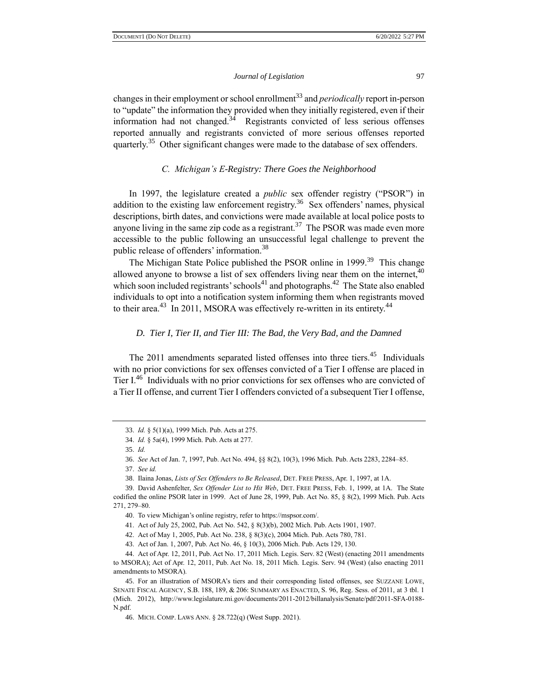changes in their employment or school enrollment<sup>33</sup> and *periodically* report in-person to "update" the information they provided when they initially registered, even if their information had not changed. $34$  Registrants convicted of less serious offenses reported annually and registrants convicted of more serious offenses reported quarterly.<sup>35</sup> Other significant changes were made to the database of sex offenders.

## *C. Michigan's E-Registry: There Goes the Neighborhood*

In 1997, the legislature created a *public* sex offender registry ("PSOR") in addition to the existing law enforcement registry.<sup>36</sup> Sex offenders' names, physical descriptions, birth dates, and convictions were made available at local police posts to anyone living in the same zip code as a registrant.<sup>37</sup> The PSOR was made even more accessible to the public following an unsuccessful legal challenge to prevent the public release of offenders' information.<sup>38</sup>

The Michigan State Police published the PSOR online in 1999.<sup>39</sup> This change allowed anyone to browse a list of sex offenders living near them on the internet, $40$ which soon included registrants' schools<sup>41</sup> and photographs.<sup>42</sup> The State also enabled individuals to opt into a notification system informing them when registrants moved to their area.<sup>43</sup> In 2011, MSORA was effectively re-written in its entirety.<sup>44</sup>

## *D. Tier I, Tier II, and Tier III: The Bad, the Very Bad, and the Damned*

The 2011 amendments separated listed offenses into three tiers.<sup>45</sup> Individuals with no prior convictions for sex offenses convicted of a Tier I offense are placed in Tier  $I^{46}$  Individuals with no prior convictions for sex offenses who are convicted of a Tier II offense, and current Tier I offenders convicted of a subsequent Tier I offense,

<sup>33.</sup> *Id.* § 5(1)(a), 1999 Mich. Pub. Acts at 275.

<sup>34.</sup> *Id.* § 5a(4), 1999 Mich. Pub. Acts at 277.

<sup>35.</sup> *Id.*

<sup>36.</sup> *See* Act of Jan. 7, 1997, Pub. Act No. 494, §§ 8(2), 10(3), 1996 Mich. Pub. Acts 2283, 2284–85.

<sup>37.</sup> *See id.*

<sup>38.</sup> Ilaina Jonas, *Lists of Sex Offenders to Be Released*, DET. FREE PRESS, Apr. 1, 1997, at 1A.

<sup>39.</sup> David Ashenfelter, *Sex Offender List to Hit Web*, DET. FREE PRESS, Feb. 1, 1999, at 1A. The State codified the online PSOR later in 1999. Act of June 28, 1999, Pub. Act No. 85, § 8(2), 1999 Mich. Pub. Acts 271, 279–80.

<sup>40.</sup> To view Michigan's online registry, refer to https://mspsor.com/.

<sup>41.</sup> Act of July 25, 2002, Pub. Act No. 542, § 8(3)(b), 2002 Mich. Pub. Acts 1901, 1907.

<sup>42.</sup> Act of May 1, 2005, Pub. Act No. 238, § 8(3)(c), 2004 Mich. Pub. Acts 780, 781.

<sup>43.</sup> Act of Jan. 1, 2007, Pub. Act No. 46, § 10(3), 2006 Mich. Pub. Acts 129, 130.

<sup>44.</sup> Act of Apr. 12, 2011, Pub. Act No. 17, 2011 Mich. Legis. Serv. 82 (West) (enacting 2011 amendments to MSORA); Act of Apr. 12, 2011, Pub. Act No. 18, 2011 Mich. Legis. Serv. 94 (West) (also enacting 2011 amendments to MSORA).

<sup>45.</sup> For an illustration of MSORA's tiers and their corresponding listed offenses, see SUZZANE LOWE, SENATE FISCAL AGENCY, S.B. 188, 189, & 206: SUMMARY AS ENACTED, S. 96, Reg. Sess. of 2011, at 3 tbl. 1 (Mich. 2012), http://www.legislature.mi.gov/documents/2011-2012/billanalysis/Senate/pdf/2011-SFA-0188- N.pdf.

<sup>46.</sup> MICH. COMP. LAWS ANN. § 28.722(q) (West Supp. 2021).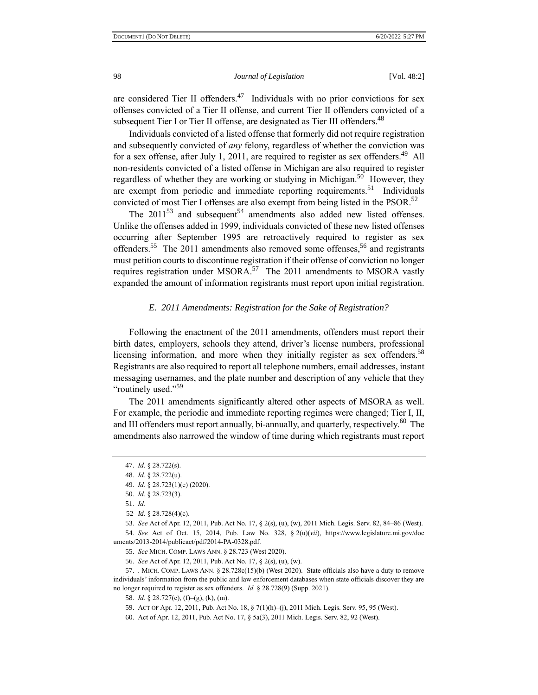are considered Tier II offenders.<sup>47</sup> Individuals with no prior convictions for sex offenses convicted of a Tier II offense, and current Tier II offenders convicted of a subsequent Tier I or Tier II offense, are designated as Tier III offenders.<sup>48</sup>

Individuals convicted of a listed offense that formerly did not require registration and subsequently convicted of *any* felony, regardless of whether the conviction was for a sex offense, after July 1, 2011, are required to register as sex offenders.<sup>49</sup> All non-residents convicted of a listed offense in Michigan are also required to register regardless of whether they are working or studying in Michigan.<sup>50</sup> However, they are exempt from periodic and immediate reporting requirements.<sup>51</sup> Individuals convicted of most Tier I offenses are also exempt from being listed in the PSOR.<sup>52</sup>

The  $2011^{53}$  and subsequent<sup>54</sup> amendments also added new listed offenses. Unlike the offenses added in 1999, individuals convicted of these new listed offenses occurring after September 1995 are retroactively required to register as sex offenders.<sup>55</sup> The 2011 amendments also removed some offenses,<sup>56</sup> and registrants must petition courts to discontinue registration if their offense of conviction no longer requires registration under MSORA.<sup>57</sup> The 2011 amendments to MSORA vastly expanded the amount of information registrants must report upon initial registration.

#### *E. 2011 Amendments: Registration for the Sake of Registration?*

Following the enactment of the 2011 amendments, offenders must report their birth dates, employers, schools they attend, driver's license numbers, professional licensing information, and more when they initially register as sex offenders.<sup>58</sup> Registrants are also required to report all telephone numbers, email addresses, instant messaging usernames, and the plate number and description of any vehicle that they "routinely used."<sup>59</sup>

The 2011 amendments significantly altered other aspects of MSORA as well. For example, the periodic and immediate reporting regimes were changed; Tier I, II, and III offenders must report annually, bi-annually, and quarterly, respectively.<sup>60</sup> The amendments also narrowed the window of time during which registrants must report

56. *See* Act of Apr. 12, 2011, Pub. Act No. 17, § 2(s), (u), (w).

57. . MICH. COMP. LAWS ANN. § 28.728c(15)(b) (West 2020). State officials also have a duty to remove individuals' information from the public and law enforcement databases when state officials discover they are no longer required to register as sex offenders. *Id.* § 28.728(9) (Supp. 2021).

<sup>47.</sup> *Id.* § 28.722(s).

<sup>48.</sup> *Id.* § 28.722(u).

<sup>49.</sup> *Id.* § 28.723(1)(e) (2020).

<sup>50.</sup> *Id.* § 28.723(3).

<sup>51.</sup> *Id.*

<sup>52</sup>. *Id.* § 28.728(4)(c).

<sup>53.</sup> *See* Act of Apr. 12, 2011, Pub. Act No. 17, § 2(s), (u), (w), 2011 Mich. Legis. Serv. 82, 84–86 (West). 54. *See* Act of Oct. 15, 2014, Pub. Law No. 328, § 2(u)(*vii*), https://www.legislature.mi.gov/doc uments/2013-2014/publicact/pdf/2014-PA-0328.pdf.

<sup>55.</sup> *See* MICH. COMP. LAWS ANN. § 28.723 (West 2020).

<sup>58.</sup> *Id.* § 28.727(c), (f)–(g), (k), (m).

<sup>59.</sup> ACT OF Apr. 12, 2011, Pub. Act No. 18, § 7(1)(h)–(j), 2011 Mich. Legis. Serv. 95, 95 (West).

<sup>60.</sup> Act of Apr. 12, 2011, Pub. Act No. 17, § 5a(3), 2011 Mich. Legis. Serv. 82, 92 (West).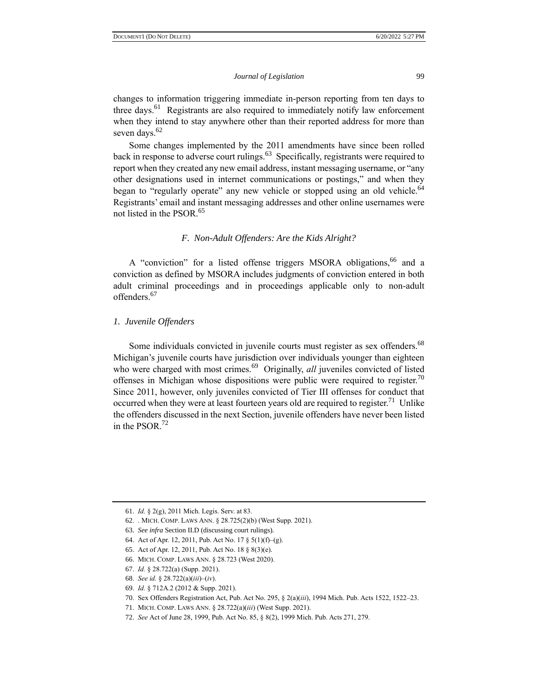changes to information triggering immediate in-person reporting from ten days to three days.<sup>61</sup> Registrants are also required to immediately notify law enforcement when they intend to stay anywhere other than their reported address for more than seven days.<sup>62</sup>

Some changes implemented by the 2011 amendments have since been rolled back in response to adverse court rulings.<sup>63</sup> Specifically, registrants were required to report when they created any new email address, instant messaging username, or "any other designations used in internet communications or postings," and when they began to "regularly operate" any new vehicle or stopped using an old vehicle.<sup>64</sup> Registrants' email and instant messaging addresses and other online usernames were not listed in the PSOR.<sup>65</sup>

## *F. Non-Adult Offenders: Are the Kids Alright?*

A "conviction" for a listed offense triggers MSORA obligations, <sup>66</sup> and a conviction as defined by MSORA includes judgments of conviction entered in both adult criminal proceedings and in proceedings applicable only to non-adult offenders. 67

#### *1. Juvenile Offenders*

Some individuals convicted in juvenile courts must register as sex offenders.<sup>68</sup> Michigan's juvenile courts have jurisdiction over individuals younger than eighteen who were charged with most crimes.<sup>69</sup> Originally, *all* juveniles convicted of listed offenses in Michigan whose dispositions were public were required to register.<sup>70</sup> Since 2011, however, only juveniles convicted of Tier III offenses for conduct that occurred when they were at least fourteen years old are required to register.<sup>71</sup> Unlike the offenders discussed in the next Section, juvenile offenders have never been listed in the PSOR. $^{72}$ 

<sup>61.</sup> *Id.* § 2(g), 2011 Mich. Legis. Serv. at 83.

<sup>62.</sup> . MICH. COMP. LAWS ANN. § 28.725(2)(b) (West Supp. 2021).

<sup>63.</sup> *See infra* Section II.D (discussing court rulings).

<sup>64.</sup> Act of Apr. 12, 2011, Pub. Act No. 17 § 5(1)(f)–(g).

<sup>65.</sup> Act of Apr. 12, 2011, Pub. Act No. 18 § 8(3)(e).

<sup>66.</sup> MICH. COMP. LAWS ANN. § 28.723 (West 2020).

<sup>67.</sup> *Id.* § 28.722(a) (Supp. 2021).

<sup>68.</sup> *See id.* § 28.722(a)(*iii*)–(*iv*).

<sup>69.</sup> *Id.* § 712A.2 (2012 & Supp. 2021).

<sup>70.</sup> Sex Offenders Registration Act, Pub. Act No. 295, § 2(a)(*iii*), 1994 Mich. Pub. Acts 1522, 1522–23.

<sup>71.</sup> MICH. COMP. LAWS ANN. § 28.722(a)(*iii*) (West Supp. 2021).

<sup>72.</sup> *See* Act of June 28, 1999, Pub. Act No. 85, § 8(2), 1999 Mich. Pub. Acts 271, 279.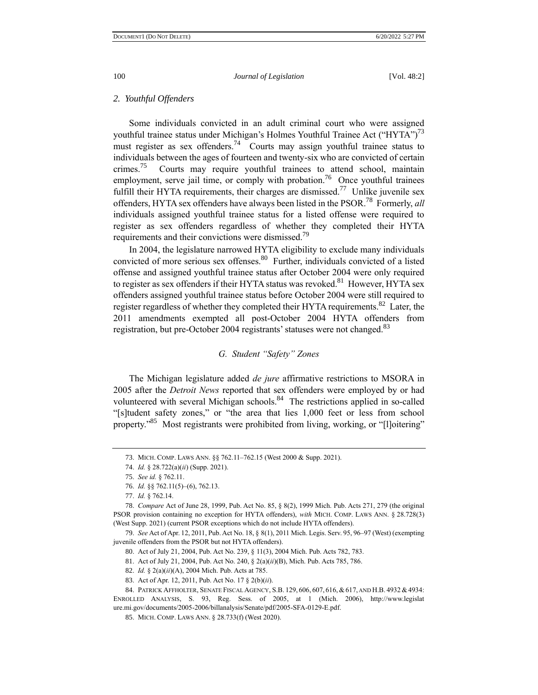#### *2. Youthful Offenders*

Some individuals convicted in an adult criminal court who were assigned youthful trainee status under Michigan's Holmes Youthful Trainee Act ("HYTA")<sup>73</sup> must register as sex offenders.<sup>74</sup> Courts may assign youthful trainee status to individuals between the ages of fourteen and twenty-six who are convicted of certain crimes.<sup>75</sup> Courts may require youthful trainees to attend school, maintain employment, serve jail time, or comply with probation.<sup>76</sup> Once youthful trainees fulfill their HYTA requirements, their charges are dismissed.<sup>77</sup> Unlike juvenile sex offenders, HYTA sex offenders have always been listed in the PSOR.<sup>78</sup> Formerly, *all* individuals assigned youthful trainee status for a listed offense were required to register as sex offenders regardless of whether they completed their HYTA requirements and their convictions were dismissed.<sup>79</sup>

In 2004, the legislature narrowed HYTA eligibility to exclude many individuals convicted of more serious sex offenses.<sup>80</sup> Further, individuals convicted of a listed offense and assigned youthful trainee status after October 2004 were only required to register as sex offenders if their HYTA status was revoked.<sup>81</sup> However, HYTA sex offenders assigned youthful trainee status before October 2004 were still required to register regardless of whether they completed their HYTA requirements.<sup>82</sup> Later, the 2011 amendments exempted all post-October 2004 HYTA offenders from registration, but pre-October 2004 registrants' statuses were not changed.<sup>83</sup>

#### *G. Student "Safety" Zones*

The Michigan legislature added *de jure* affirmative restrictions to MSORA in 2005 after the *Detroit News* reported that sex offenders were employed by or had volunteered with several Michigan schools.<sup>84</sup> The restrictions applied in so-called "[s]tudent safety zones," or "the area that lies 1,000 feet or less from school property."<sup>85</sup> Most registrants were prohibited from living, working, or "[l]oitering"

<sup>73.</sup> MICH. COMP. LAWS ANN. §§ 762.11–762.15 (West 2000 & Supp. 2021).

<sup>74.</sup> *Id.* § 28.722(a)(*ii*) (Supp. 2021).

<sup>75.</sup> *See id.* § 762.11.

<sup>76.</sup> *Id.* §§ 762.11(5)–(6), 762.13.

<sup>77.</sup> *Id.* § 762.14.

<sup>78.</sup> *Compare* Act of June 28, 1999, Pub. Act No. 85, § 8(2), 1999 Mich. Pub. Acts 271, 279 (the original PSOR provision containing no exception for HYTA offenders), *with* MICH. COMP. LAWS ANN. § 28.728(3) (West Supp. 2021) (current PSOR exceptions which do not include HYTA offenders).

<sup>79.</sup> *See* Act of Apr. 12, 2011, Pub. Act No. 18, § 8(1), 2011 Mich. Legis. Serv. 95, 96–97 (West) (exempting juvenile offenders from the PSOR but not HYTA offenders).

<sup>80.</sup> Act of July 21, 2004, Pub. Act No. 239, § 11(3), 2004 Mich. Pub. Acts 782, 783.

<sup>81.</sup> Act of July 21, 2004, Pub. Act No. 240, § 2(a)(*ii*)(B), Mich. Pub. Acts 785, 786.

<sup>82.</sup> *Id.* § 2(a)(*ii*)(A), 2004 Mich. Pub. Acts at 785.

<sup>83.</sup> Act of Apr. 12, 2011, Pub. Act No. 17 § 2(b)(*ii*).

<sup>84.</sup> PATRICK AFFHOLTER, SENATE FISCAL AGENCY, S.B. 129, 606, 607, 616,&617, AND H.B. 4932 &4934:

ENROLLED ANALYSIS, S. 93, Reg. Sess. of 2005, at 1 (Mich. 2006), http://www.legislat ure.mi.gov/documents/2005-2006/billanalysis/Senate/pdf/2005-SFA-0129-E.pdf.

<sup>85.</sup> MICH. COMP. LAWS ANN. § 28.733(f) (West 2020).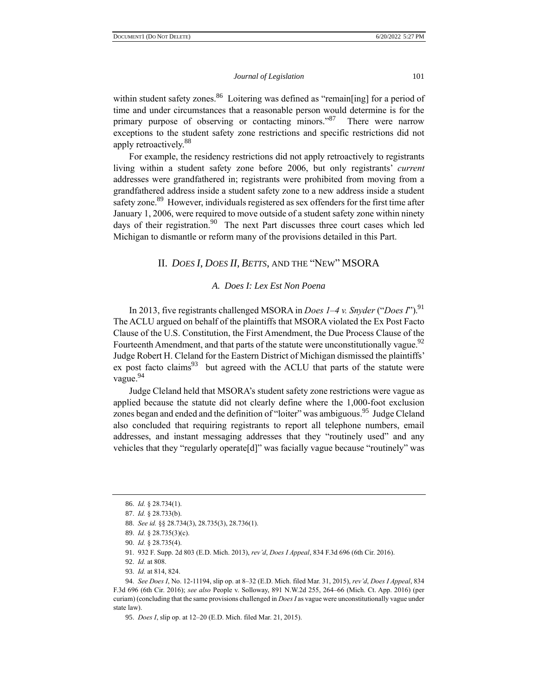within student safety zones.<sup>86</sup> Loitering was defined as "remain[ing] for a period of time and under circumstances that a reasonable person would determine is for the primary purpose of observing or contacting minors."<sup>87</sup> There were narrow exceptions to the student safety zone restrictions and specific restrictions did not apply retroactively.<sup>88</sup>

For example, the residency restrictions did not apply retroactively to registrants living within a student safety zone before 2006, but only registrants' *current* addresses were grandfathered in; registrants were prohibited from moving from a grandfathered address inside a student safety zone to a new address inside a student safety zone.<sup>89</sup> However, individuals registered as sex offenders for the first time after January 1, 2006, were required to move outside of a student safety zone within ninety days of their registration.<sup>90</sup> The next Part discusses three court cases which led Michigan to dismantle or reform many of the provisions detailed in this Part.

## II. *DOES I*, *DOES II*, *BETTS*, AND THE "NEW" MSORA

## *A. Does I: Lex Est Non Poena*

In 2013, five registrants challenged MSORA in *Does 1–4 v. Snyder* ("*Does I*").<sup>91</sup> The ACLU argued on behalf of the plaintiffs that MSORA violated the Ex Post Facto Clause of the U.S. Constitution, the First Amendment, the Due Process Clause of the Fourteenth Amendment, and that parts of the statute were unconstitutionally vague.<sup>92</sup> Judge Robert H. Cleland for the Eastern District of Michigan dismissed the plaintiffs' ex post facto claims<sup>93</sup> but agreed with the ACLU that parts of the statute were vague.<sup>94</sup>

Judge Cleland held that MSORA's student safety zone restrictions were vague as applied because the statute did not clearly define where the 1,000-foot exclusion zones began and ended and the definition of "loiter" was ambiguous.<sup>95</sup> Judge Cleland also concluded that requiring registrants to report all telephone numbers, email addresses, and instant messaging addresses that they "routinely used" and any vehicles that they "regularly operate[d]" was facially vague because "routinely" was

<sup>86.</sup> *Id.* § 28.734(1).

<sup>87.</sup> *Id.* § 28.733(b).

<sup>88.</sup> *See id.* §§ 28.734(3), 28.735(3), 28.736(1).

<sup>89.</sup> *Id.* § 28.735(3)(c).

<sup>90.</sup> *Id.* § 28.735(4).

<sup>91.</sup> 932 F. Supp. 2d 803 (E.D. Mich. 2013), *rev'd*, *Does I Appeal*, 834 F.3d 696 (6th Cir. 2016).

<sup>92.</sup> *Id.* at 808.

<sup>93.</sup> *Id.* at 814, 824.

<sup>94.</sup> *See Does I*, No. 12-11194, slip op. at 8–32 (E.D. Mich. filed Mar. 31, 2015), *rev'd*, *Does I Appeal*, 834 F.3d 696 (6th Cir. 2016); *see also* People v. Solloway, 891 N.W.2d 255, 264–66 (Mich. Ct. App. 2016) (per curiam) (concluding that the same provisions challenged in *Does I* as vague were unconstitutionally vague under state law).

<sup>95.</sup> *Does I*, slip op. at 12–20 (E.D. Mich. filed Mar. 21, 2015).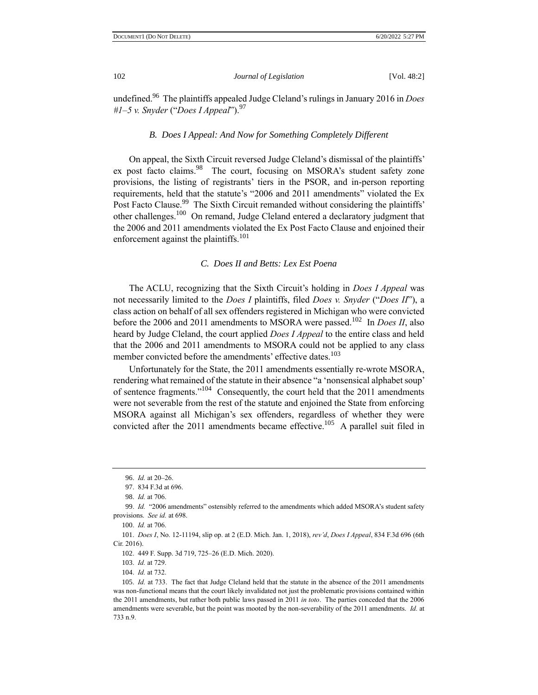undefined.<sup>96</sup> The plaintiffs appealed Judge Cleland's rulings in January 2016 in *Does #1–5 v. Snyder* ("*Does I Appeal*").<sup>97</sup>

## *B. Does I Appeal: And Now for Something Completely Different*

On appeal, the Sixth Circuit reversed Judge Cleland's dismissal of the plaintiffs' ex post facto claims.<sup>98</sup> The court, focusing on MSORA's student safety zone provisions, the listing of registrants' tiers in the PSOR, and in-person reporting requirements, held that the statute's "2006 and 2011 amendments" violated the Ex Post Facto Clause.<sup>99</sup> The Sixth Circuit remanded without considering the plaintiffs' other challenges.<sup>100</sup> On remand, Judge Cleland entered a declaratory judgment that the 2006 and 2011 amendments violated the Ex Post Facto Clause and enjoined their enforcement against the plaintiffs.<sup>101</sup>

### *C. Does II and Betts: Lex Est Poena*

The ACLU, recognizing that the Sixth Circuit's holding in *Does I Appeal* was not necessarily limited to the *Does I* plaintiffs, filed *Does v. Snyder* ("*Does II*"), a class action on behalf of all sex offenders registered in Michigan who were convicted before the 2006 and 2011 amendments to MSORA were passed.<sup>102</sup> In *Does II*, also heard by Judge Cleland, the court applied *Does I Appeal* to the entire class and held that the 2006 and 2011 amendments to MSORA could not be applied to any class member convicted before the amendments' effective dates.<sup>103</sup>

Unfortunately for the State, the 2011 amendments essentially re-wrote MSORA, rendering what remained of the statute in their absence "a 'nonsensical alphabet soup' of sentence fragments."<sup>104</sup> Consequently, the court held that the 2011 amendments were not severable from the rest of the statute and enjoined the State from enforcing MSORA against all Michigan's sex offenders, regardless of whether they were convicted after the 2011 amendments became effective.<sup>105</sup> A parallel suit filed in

<sup>96.</sup> *Id.* at 20–26.

<sup>97.</sup> 834 F.3d at 696.

<sup>98.</sup> *Id.* at 706.

<sup>99.</sup> *Id.* "2006 amendments" ostensibly referred to the amendments which added MSORA's student safety provisions. *See id.* at 698.

<sup>100.</sup> *Id.* at 706.

<sup>101.</sup> *Does I*, No. 12-11194, slip op. at 2 (E.D. Mich. Jan. 1, 2018), *rev'd*, *Does I Appeal*, 834 F.3d 696 (6th Cir. 2016).

<sup>102.</sup> 449 F. Supp. 3d 719, 725–26 (E.D. Mich. 2020).

<sup>103.</sup> *Id.* at 729.

<sup>104.</sup> *Id.* at 732.

<sup>105.</sup> *Id.* at 733. The fact that Judge Cleland held that the statute in the absence of the 2011 amendments was non-functional means that the court likely invalidated not just the problematic provisions contained within the 2011 amendments, but rather both public laws passed in 2011 *in toto*. The parties conceded that the 2006 amendments were severable, but the point was mooted by the non-severability of the 2011 amendments. *Id.* at 733 n.9.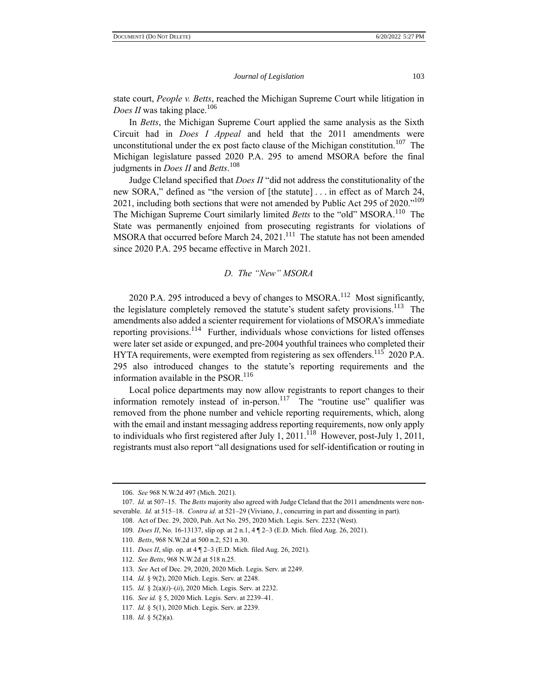state court, *People v. Betts*, reached the Michigan Supreme Court while litigation in *Does II* was taking place.<sup>106</sup>

In *Betts*, the Michigan Supreme Court applied the same analysis as the Sixth Circuit had in *Does I Appeal* and held that the 2011 amendments were unconstitutional under the  $ex$  post facto clause of the Michigan constitution.<sup>107</sup> The Michigan legislature passed 2020 P.A. 295 to amend MSORA before the final judgments in *Does II* and *Betts*. 108

Judge Cleland specified that *Does II* "did not address the constitutionality of the new SORA," defined as "the version of [the statute] . . . in effect as of March 24, 2021, including both sections that were not amended by Public Act 295 of 2020."<sup>109</sup> The Michigan Supreme Court similarly limited *Betts* to the "old" MSORA.<sup>110</sup> The State was permanently enjoined from prosecuting registrants for violations of MSORA that occurred before March  $24$ ,  $2021$ .<sup>111</sup> The statute has not been amended since 2020 P.A. 295 became effective in March 2021.

#### *D. The "New" MSORA*

2020 P.A. 295 introduced a bevy of changes to MSORA.<sup>112</sup> Most significantly, the legislature completely removed the statute's student safety provisions.<sup>113</sup> The amendments also added a scienter requirement for violations of MSORA's immediate reporting provisions.<sup>114</sup> Further, individuals whose convictions for listed offenses were later set aside or expunged, and pre-2004 youthful trainees who completed their HYTA requirements, were exempted from registering as sex offenders.<sup>115</sup> 2020 P.A. 295 also introduced changes to the statute's reporting requirements and the information available in the  $PSOR<sup>116</sup>$ .

Local police departments may now allow registrants to report changes to their information remotely instead of in-person.<sup>117</sup> The "routine use" qualifier was removed from the phone number and vehicle reporting requirements, which, along with the email and instant messaging address reporting requirements, now only apply to individuals who first registered after July 1, 2011.<sup>118</sup> However, post-July 1, 2011, registrants must also report "all designations used for self-identification or routing in

<sup>106.</sup> *See* 968 N.W.2d 497 (Mich. 2021).

<sup>107.</sup> *Id.* at 507–15. The *Betts* majority also agreed with Judge Cleland that the 2011 amendments were nonseverable. *Id.* at 515–18. *Contra id.* at 521–29 (Viviano, J., concurring in part and dissenting in part).

<sup>108.</sup> Act of Dec. 29, 2020, Pub. Act No. 295, 2020 Mich. Legis. Serv. 2232 (West).

<sup>109.</sup> *Does II*, No. 16-13137, slip op. at 2 n.1, 4 ¶ 2–3 (E.D. Mich. filed Aug. 26, 2021).

<sup>110.</sup> *Betts*, 968 N.W.2d at 500 n.2, 521 n.30.

<sup>111.</sup> *Does II*, slip. op. at 4 ¶ 2–3 (E.D. Mich. filed Aug. 26, 2021).

<sup>112.</sup> *See Betts*, 968 N.W.2d at 518 n.25.

<sup>113.</sup> *See* Act of Dec. 29, 2020, 2020 Mich. Legis. Serv. at 2249.

<sup>114.</sup> *Id.* § 9(2), 2020 Mich. Legis. Serv. at 2248.

<sup>115.</sup> *Id.* § 2(a)(*i*)–(*ii*), 2020 Mich. Legis. Serv. at 2232.

<sup>116.</sup> *See id.* § 5, 2020 Mich. Legis. Serv. at 2239–41.

<sup>117.</sup> *Id.* § 5(1), 2020 Mich. Legis. Serv. at 2239.

<sup>118.</sup> *Id.* § 5(2)(a).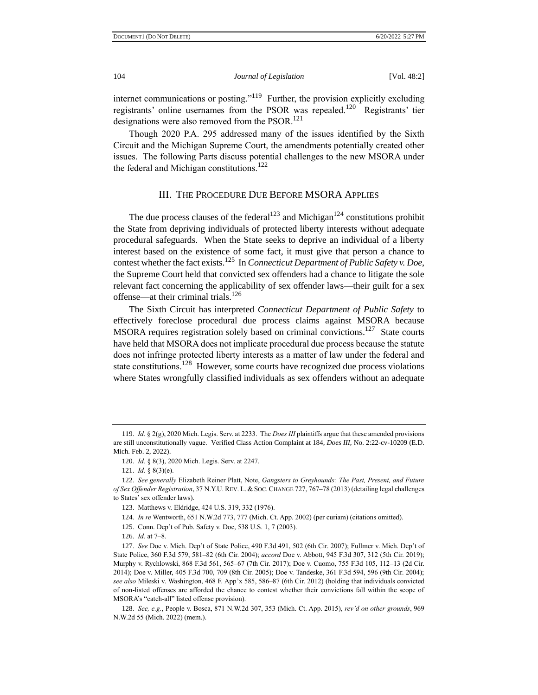internet communications or posting."<sup>119</sup> Further, the provision explicitly excluding registrants' online usernames from the PSOR was repealed.<sup>120</sup> Registrants' tier designations were also removed from the PSOR.<sup>121</sup>

Though 2020 P.A. 295 addressed many of the issues identified by the Sixth Circuit and the Michigan Supreme Court, the amendments potentially created other issues. The following Parts discuss potential challenges to the new MSORA under the federal and Michigan constitutions.<sup>122</sup>

## III. THE PROCEDURE DUE BEFORE MSORA APPLIES

The due process clauses of the federal<sup>123</sup> and Michigan<sup>124</sup> constitutions prohibit the State from depriving individuals of protected liberty interests without adequate procedural safeguards. When the State seeks to deprive an individual of a liberty interest based on the existence of some fact, it must give that person a chance to contest whether the fact exists.<sup>125</sup> In *Connecticut Department of Public Safety v. Doe*, the Supreme Court held that convicted sex offenders had a chance to litigate the sole relevant fact concerning the applicability of sex offender laws—their guilt for a sex offense—at their criminal trials.<sup>126</sup>

The Sixth Circuit has interpreted *Connecticut Department of Public Safety* to effectively foreclose procedural due process claims against MSORA because MSORA requires registration solely based on criminal convictions.<sup>127</sup> State courts have held that MSORA does not implicate procedural due process because the statute does not infringe protected liberty interests as a matter of law under the federal and state constitutions.<sup>128</sup> However, some courts have recognized due process violations where States wrongfully classified individuals as sex offenders without an adequate

<sup>119.</sup> *Id.* § 2(g), 2020 Mich. Legis. Serv. at 2233. The *Does III* plaintiffs argue that these amended provisions are still unconstitutionally vague. Verified Class Action Complaint at 184, *Does III*, No. 2:22-cv-10209 (E.D. Mich. Feb. 2, 2022).

<sup>120.</sup> *Id.* § 8(3), 2020 Mich. Legis. Serv. at 2247.

<sup>121.</sup> *Id.* § 8(3)(e).

<sup>122.</sup> *See generally* Elizabeth Reiner Platt, Note, *Gangsters to Greyhounds: The Past, Present, and Future of Sex Offender Registration*, 37 N.Y.U. REV. L.& SOC. CHANGE 727, 767–78 (2013) (detailing legal challenges to States' sex offender laws).

<sup>123.</sup> Matthews v. Eldridge, 424 U.S. 319, 332 (1976).

<sup>124.</sup> *In re* Wentworth, 651 N.W.2d 773, 777 (Mich. Ct. App. 2002) (per curiam) (citations omitted).

<sup>125.</sup> Conn. Dep't of Pub. Safety v. Doe, 538 U.S. 1, 7 (2003).

<sup>126.</sup> *Id.* at 7–8.

<sup>127.</sup> *See* Doe v. Mich. Dep't of State Police, 490 F.3d 491, 502 (6th Cir. 2007); Fullmer v. Mich. Dep't of State Police, 360 F.3d 579, 581–82 (6th Cir. 2004); *accord* Doe v. Abbott, 945 F.3d 307, 312 (5th Cir. 2019); Murphy v. Rychlowski, 868 F.3d 561, 565–67 (7th Cir. 2017); Doe v. Cuomo, 755 F.3d 105, 112–13 (2d Cir. 2014); Doe v. Miller, 405 F.3d 700, 709 (8th Cir. 2005); Doe v. Tandeske, 361 F.3d 594, 596 (9th Cir. 2004); *see also* Mileski v. Washington, 468 F. App'x 585, 586–87 (6th Cir. 2012) (holding that individuals convicted of non-listed offenses are afforded the chance to contest whether their convictions fall within the scope of MSORA's "catch-all" listed offense provision).

<sup>128.</sup> *See, e.g.*, People v. Bosca, 871 N.W.2d 307, 353 (Mich. Ct. App. 2015), *rev'd on other grounds*, 969 N.W.2d 55 (Mich. 2022) (mem.).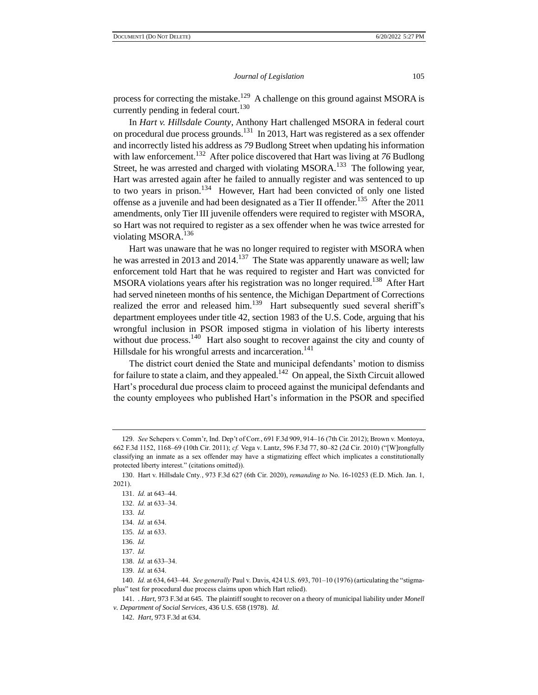process for correcting the mistake.<sup>129</sup> A challenge on this ground against MSORA is currently pending in federal court.<sup>130</sup>

In *Hart v. Hillsdale County*, Anthony Hart challenged MSORA in federal court on procedural due process grounds.<sup>131</sup> In 2013, Hart was registered as a sex offender and incorrectly listed his address as *79* Budlong Street when updating his information with law enforcement.<sup>132</sup> After police discovered that Hart was living at 76 Budlong Street, he was arrested and charged with violating MSORA.<sup>133</sup> The following year, Hart was arrested again after he failed to annually register and was sentenced to up to two years in prison.<sup>134</sup> However, Hart had been convicted of only one listed offense as a juvenile and had been designated as a Tier II offender.<sup>135</sup> After the 2011 amendments, only Tier III juvenile offenders were required to register with MSORA, so Hart was not required to register as a sex offender when he was twice arrested for violating MSORA.<sup>136</sup>

Hart was unaware that he was no longer required to register with MSORA when he was arrested in 2013 and 2014.<sup>137</sup> The State was apparently unaware as well; law enforcement told Hart that he was required to register and Hart was convicted for MSORA violations years after his registration was no longer required.<sup>138</sup> After Hart had served nineteen months of his sentence, the Michigan Department of Corrections realized the error and released him.<sup>139</sup> Hart subsequently sued several sheriff's department employees under title 42, section 1983 of the U.S. Code, arguing that his wrongful inclusion in PSOR imposed stigma in violation of his liberty interests without due process.<sup>140</sup> Hart also sought to recover against the city and county of Hillsdale for his wrongful arrests and incarceration.<sup>141</sup>

The district court denied the State and municipal defendants' motion to dismiss for failure to state a claim, and they appealed.<sup>142</sup> On appeal, the Sixth Circuit allowed Hart's procedural due process claim to proceed against the municipal defendants and the county employees who published Hart's information in the PSOR and specified

<sup>129.</sup> *See* Schepers v. Comm'r, Ind. Dep't of Corr., 691 F.3d 909, 914–16 (7th Cir. 2012); Brown v. Montoya, 662 F.3d 1152, 1168–69 (10th Cir. 2011); *cf.* Vega v. Lantz, 596 F.3d 77, 80–82 (2d Cir. 2010) ("[W]rongfully classifying an inmate as a sex offender may have a stigmatizing effect which implicates a constitutionally protected liberty interest." (citations omitted)).

<sup>130.</sup> Hart v. Hillsdale Cnty*.*, 973 F.3d 627 (6th Cir. 2020), *remanding to* No. 16-10253 (E.D. Mich. Jan. 1, 2021).

<sup>131.</sup> *Id.* at 643–44.

<sup>132.</sup> *Id.* at 633–34.

<sup>133.</sup> *Id.*

<sup>134.</sup> *Id.* at 634.

<sup>135.</sup> *Id.* at 633.

<sup>136.</sup> *Id.*

<sup>137.</sup> *Id.*

<sup>138.</sup> *Id.* at 633–34.

<sup>139.</sup> *Id.* at 634.

<sup>140.</sup> *Id.* at 634, 643–44. *See generally* Paul v. Davis, 424 U.S. 693, 701–10 (1976) (articulating the "stigmaplus" test for procedural due process claims upon which Hart relied).

<sup>141.</sup> . *Hart*, 973 F.3d at 645. The plaintiff sought to recover on a theory of municipal liability under *Monell v. Department of Social Services*, 436 U.S. 658 (1978). *Id.*

<sup>142.</sup> *Hart*, 973 F.3d at 634.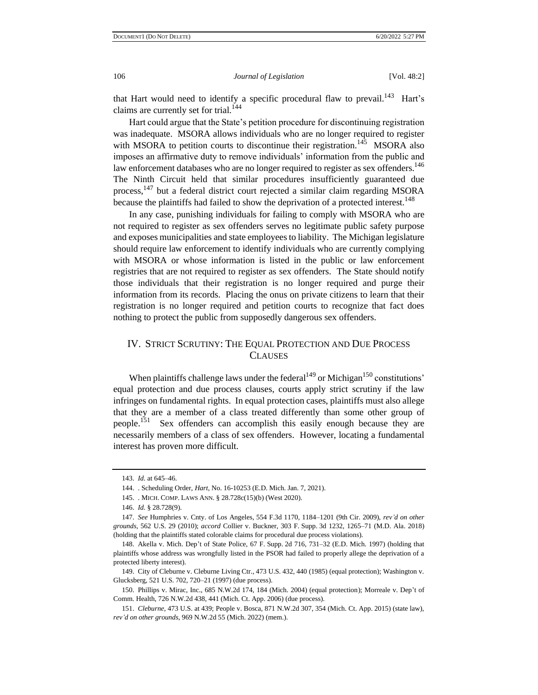that Hart would need to identify a specific procedural flaw to prevail.<sup>143</sup> Hart's claims are currently set for trial.<sup>144</sup>

Hart could argue that the State's petition procedure for discontinuing registration was inadequate. MSORA allows individuals who are no longer required to register with MSORA to petition courts to discontinue their registration.<sup>145</sup> MSORA also imposes an affirmative duty to remove individuals' information from the public and law enforcement databases who are no longer required to register as sex offenders.<sup>146</sup> The Ninth Circuit held that similar procedures insufficiently guaranteed due process,<sup>147</sup> but a federal district court rejected a similar claim regarding MSORA because the plaintiffs had failed to show the deprivation of a protected interest.<sup>148</sup>

In any case, punishing individuals for failing to comply with MSORA who are not required to register as sex offenders serves no legitimate public safety purpose and exposes municipalities and state employees to liability. The Michigan legislature should require law enforcement to identify individuals who are currently complying with MSORA or whose information is listed in the public or law enforcement registries that are not required to register as sex offenders. The State should notify those individuals that their registration is no longer required and purge their information from its records. Placing the onus on private citizens to learn that their registration is no longer required and petition courts to recognize that fact does nothing to protect the public from supposedly dangerous sex offenders.

## IV. STRICT SCRUTINY: THE EQUAL PROTECTION AND DUE PROCESS **CLAUSES**

When plaintiffs challenge laws under the federal<sup>149</sup> or Michigan<sup>150</sup> constitutions' equal protection and due process clauses, courts apply strict scrutiny if the law infringes on fundamental rights. In equal protection cases, plaintiffs must also allege that they are a member of a class treated differently than some other group of people.<sup>151</sup> Sex offenders can accomplish this easily enough because they are necessarily members of a class of sex offenders. However, locating a fundamental interest has proven more difficult.

<sup>143.</sup> *Id.* at 645–46.

<sup>144.</sup> . Scheduling Order, *Hart*, No. 16-10253 (E.D. Mich. Jan. 7, 2021).

<sup>145.</sup> . MICH. COMP. LAWS ANN. § 28.728c(15)(b) (West 2020).

<sup>146.</sup> *Id.* § 28.728(9).

<sup>147.</sup> *See* Humphries v. Cnty. of Los Angeles, 554 F.3d 1170, 1184–1201 (9th Cir. 2009), *rev'd on other grounds*, 562 U.S. 29 (2010); *accord* Collier v. Buckner, 303 F. Supp. 3d 1232, 1265–71 (M.D. Ala. 2018) (holding that the plaintiffs stated colorable claims for procedural due process violations).

<sup>148.</sup> Akella v. Mich. Dep't of State Police, 67 F. Supp. 2d 716, 731–32 (E.D. Mich. 1997) (holding that plaintiffs whose address was wrongfully listed in the PSOR had failed to properly allege the deprivation of a protected liberty interest).

<sup>149.</sup> City of Cleburne v. Cleburne Living Ctr., 473 U.S. 432, 440 (1985) (equal protection); Washington v. Glucksberg, 521 U.S. 702, 720–21 (1997) (due process).

<sup>150.</sup> Phillips v. Mirac, Inc., 685 N.W.2d 174, 184 (Mich. 2004) (equal protection); Morreale v. Dep't of Comm. Health, 726 N.W.2d 438, 441 (Mich. Ct. App. 2006) (due process).

<sup>151.</sup> *Cleburne*, 473 U.S. at 439; People v. Bosca, 871 N.W.2d 307, 354 (Mich. Ct. App. 2015) (state law), *rev'd on other grounds*, 969 N.W.2d 55 (Mich. 2022) (mem.).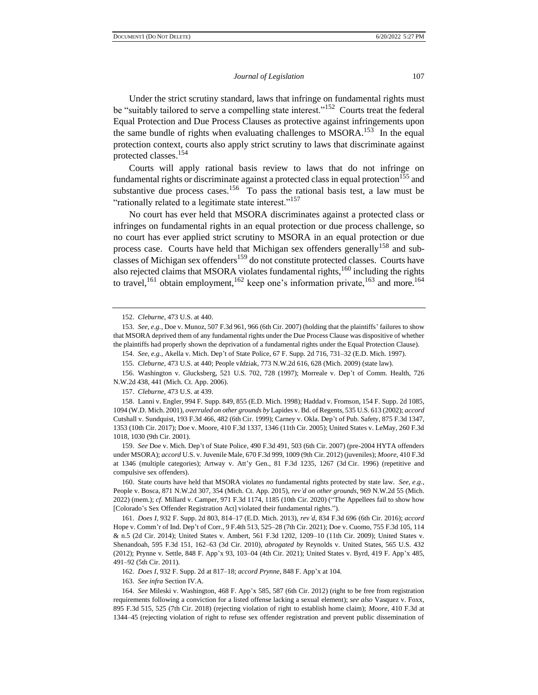Under the strict scrutiny standard, laws that infringe on fundamental rights must be "suitably tailored to serve a compelling state interest."<sup>152</sup> Courts treat the federal Equal Protection and Due Process Clauses as protective against infringements upon the same bundle of rights when evaluating challenges to  $MSORA$ <sup>153</sup> In the equal protection context, courts also apply strict scrutiny to laws that discriminate against protected classes.<sup>154</sup>

Courts will apply rational basis review to laws that do not infringe on fundamental rights or discriminate against a protected class in equal protection<sup>155</sup> and substantive due process cases.<sup>156</sup> To pass the rational basis test, a law must be "rationally related to a legitimate state interest."<sup>157</sup>

No court has ever held that MSORA discriminates against a protected class or infringes on fundamental rights in an equal protection or due process challenge, so no court has ever applied strict scrutiny to MSORA in an equal protection or due process case. Courts have held that Michigan sex offenders generally<sup>158</sup> and subclasses of Michigan sex offenders<sup>159</sup> do not constitute protected classes. Courts have also rejected claims that MSORA violates fundamental rights,<sup>160</sup> including the rights to travel,<sup>161</sup> obtain employment,<sup>162</sup> keep one's information private,<sup>163</sup> and more.<sup>164</sup>

159. *See* Doe v. Mich. Dep't of State Police, 490 F.3d 491, 503 (6th Cir. 2007) (pre-2004 HYTA offenders under MSORA); *accord* U.S. v. Juvenile Male, 670 F.3d 999, 1009 (9th Cir. 2012) (juveniles); *Moore*, 410 F.3d at 1346 (multiple categories); Artway v. Att'y Gen., 81 F.3d 1235, 1267 (3d Cir. 1996) (repetitive and compulsive sex offenders).

160. State courts have held that MSORA violates *no* fundamental rights protected by state law. *See, e.g.*, People v. Bosca, 871 N.W.2d 307, 354 (Mich. Ct. App. 2015), *rev'd on other grounds*, 969 N.W.2d 55 (Mich. 2022) (mem.); *cf.* Millard v. Camper, 971 F.3d 1174, 1185 (10th Cir. 2020) ("The Appellees fail to show how [Colorado's Sex Offender Registration Act] violated their fundamental rights.").

161. *Does I*, 932 F. Supp. 2d 803, 814–17 (E.D. Mich. 2013), *rev'd*, 834 F.3d 696 (6th Cir. 2016); *accord*  Hope v. Comm'r of Ind. Dep't of Corr., 9 F.4th 513, 525–28 (7th Cir. 2021); Doe v. Cuomo, 755 F.3d 105, 114 & n.5 (2d Cir. 2014); United States v. Ambert, 561 F.3d 1202, 1209–10 (11th Cir. 2009); United States v. Shenandoah, 595 F.3d 151, 162–63 (3d Cir. 2010), *abrogated by* Reynolds v. United States, 565 U.S. 432 (2012); Prynne v. Settle, 848 F. App'x 93, 103–04 (4th Cir. 2021); United States v. Byrd, 419 F. App'x 485, 491–92 (5th Cir. 2011).

162. *Does I*, 932 F. Supp. 2d at 817–18; *accord Prynne*, 848 F. App'x at 104.

163. *See infra* Section IV.A.

164. *See* Mileski v. Washington, 468 F. App'x 585, 587 (6th Cir. 2012) (right to be free from registration requirements following a conviction for a listed offense lacking a sexual element); *see also* Vasquez v. Foxx, 895 F.3d 515, 525 (7th Cir. 2018) (rejecting violation of right to establish home claim); *Moore*, 410 F.3d at 1344–45 (rejecting violation of right to refuse sex offender registration and prevent public dissemination of

<sup>152.</sup> *Cleburne*, 473 U.S. at 440.

<sup>153.</sup> *See, e.g.*, Doe v. Munoz, 507 F.3d 961, 966 (6th Cir. 2007) (holding that the plaintiffs' failures to show that MSORA deprived them of any fundamental rights under the Due Process Clause was dispositive of whether the plaintiffs had properly shown the deprivation of a fundamental rights under the Equal Protection Clause).

<sup>154.</sup> *See, e.g.*, Akella v. Mich. Dep't of State Police, 67 F. Supp. 2d 716, 731–32 (E.D. Mich. 1997).

<sup>155.</sup> *Cleburne*, 473 U.S. at 440; People v*Id*ziak, 773 N.W.2d 616, 628 (Mich. 2009) (state law).

<sup>156.</sup> Washington v. Glucksberg, 521 U.S. 702, 728 (1997); Morreale v. Dep't of Comm. Health, 726 N.W.2d 438, 441 (Mich. Ct. App. 2006).

<sup>157.</sup> *Cleburne*, 473 U.S. at 439.

<sup>158.</sup> Lanni v. Engler, 994 F. Supp. 849, 855 (E.D. Mich. 1998); Haddad v. Fromson, 154 F. Supp. 2d 1085, 1094 (W.D. Mich. 2001), *overruled on other grounds by* Lapides v. Bd. of Regents, 535 U.S. 613 (2002); *accord* Cutshall v. Sundquist, 193 F.3d 466, 482 (6th Cir. 1999); Carney v. Okla. Dep't of Pub. Safety, 875 F.3d 1347, 1353 (10th Cir. 2017); Doe v. Moore, 410 F.3d 1337, 1346 (11th Cir. 2005); United States v. LeMay, 260 F.3d 1018, 1030 (9th Cir. 2001).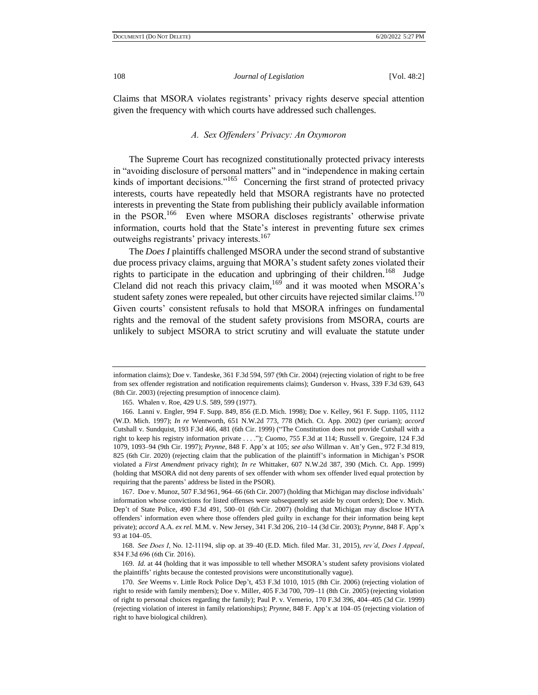Claims that MSORA violates registrants' privacy rights deserve special attention given the frequency with which courts have addressed such challenges.

## *A. Sex Offenders' Privacy: An Oxymoron*

The Supreme Court has recognized constitutionally protected privacy interests in "avoiding disclosure of personal matters" and in "independence in making certain kinds of important decisions."<sup>165</sup> Concerning the first strand of protected privacy interests, courts have repeatedly held that MSORA registrants have no protected interests in preventing the State from publishing their publicly available information in the PSOR.<sup>166</sup> Even where MSORA discloses registrants' otherwise private information, courts hold that the State's interest in preventing future sex crimes outweighs registrants' privacy interests.<sup>167</sup>

The *Does I* plaintiffs challenged MSORA under the second strand of substantive due process privacy claims, arguing that MORA's student safety zones violated their rights to participate in the education and upbringing of their children.<sup>168</sup> Judge Cleland did not reach this privacy claim,  $169$  and it was mooted when MSORA's student safety zones were repealed, but other circuits have rejected similar claims. $170$ Given courts' consistent refusals to hold that MSORA infringes on fundamental rights and the removal of the student safety provisions from MSORA, courts are unlikely to subject MSORA to strict scrutiny and will evaluate the statute under

information claims); Doe v. Tandeske, 361 F.3d 594, 597 (9th Cir. 2004) (rejecting violation of right to be free from sex offender registration and notification requirements claims); Gunderson v. Hvass, 339 F.3d 639, 643 (8th Cir. 2003) (rejecting presumption of innocence claim).

<sup>165.</sup> Whalen v. Roe, 429 U.S. 589, 599 (1977).

<sup>166.</sup> Lanni v. Engler, 994 F. Supp. 849, 856 (E.D. Mich. 1998); Doe v. Kelley, 961 F. Supp. 1105, 1112 (W.D. Mich. 1997); *In re* Wentworth, 651 N.W.2d 773, 778 (Mich. Ct. App. 2002) (per curiam); *accord* Cutshall v. Sundquist, 193 F.3d 466, 481 (6th Cir. 1999) ("The Constitution does not provide Cutshall with a right to keep his registry information private . . . ."); *Cuomo*, 755 F.3d at 114; Russell v. Gregoire, 124 F.3d 1079, 1093–94 (9th Cir. 1997); *Prynne*, 848 F. App'x at 105; *see also* Willman v. Att'y Gen., 972 F.3d 819, 825 (6th Cir. 2020) (rejecting claim that the publication of the plaintiff's information in Michigan's PSOR violated a *First Amendment* privacy right); *In re* Whittaker, 607 N.W.2d 387, 390 (Mich. Ct. App. 1999) (holding that MSORA did not deny parents of sex offender with whom sex offender lived equal protection by requiring that the parents' address be listed in the PSOR).

<sup>167.</sup> Doe v. Munoz, 507 F.3d 961, 964–66 (6th Cir. 2007) (holding that Michigan may disclose individuals' information whose convictions for listed offenses were subsequently set aside by court orders); Doe v. Mich. Dep't of State Police, 490 F.3d 491, 500–01 (6th Cir. 2007) (holding that Michigan may disclose HYTA offenders' information even where those offenders pled guilty in exchange for their information being kept private); *accord* A.A. *ex rel.* M.M. v. New Jersey, 341 F.3d 206, 210–14 (3d Cir. 2003); *Prynne*, 848 F. App'x 93 at 104–05.

<sup>168.</sup> *See Does I*, No. 12-11194, slip op. at 39–40 (E.D. Mich. filed Mar. 31, 2015), *rev'd*, *Does I Appeal*, 834 F.3d 696 (6th Cir. 2016).

<sup>169.</sup> *Id.* at 44 (holding that it was impossible to tell whether MSORA's student safety provisions violated the plaintiffs' rights because the contested provisions were unconstitutionally vague).

<sup>170.</sup> *See* Weems v. Little Rock Police Dep't, 453 F.3d 1010, 1015 (8th Cir. 2006) (rejecting violation of right to reside with family members); Doe v. Miller, 405 F.3d 700, 709–11 (8th Cir. 2005) (rejecting violation of right to personal choices regarding the family); Paul P. v. Vernerio, 170 F.3d 396, 404–405 (3d Cir. 1999) (rejecting violation of interest in family relationships); *Prynne*, 848 F. App'x at 104–05 (rejecting violation of right to have biological children).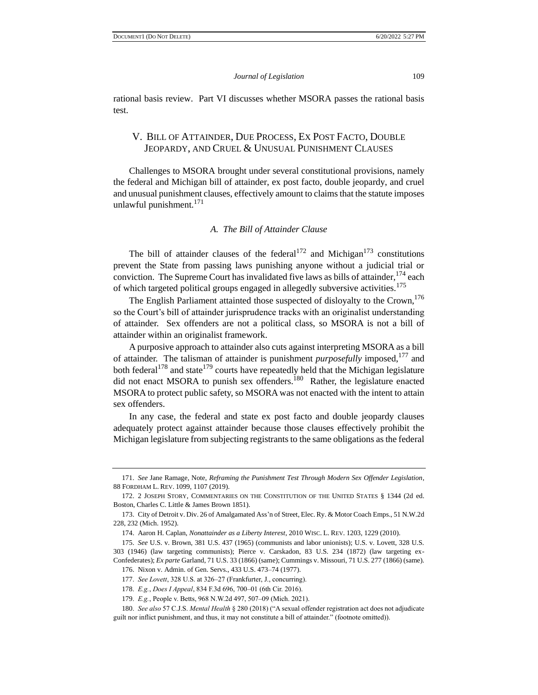rational basis review. Part VI discusses whether MSORA passes the rational basis test.

# V. BILL OF ATTAINDER, DUE PROCESS, EX POST FACTO, DOUBLE JEOPARDY, AND CRUEL & UNUSUAL PUNISHMENT CLAUSES

Challenges to MSORA brought under several constitutional provisions, namely the federal and Michigan bill of attainder, ex post facto, double jeopardy, and cruel and unusual punishment clauses, effectively amount to claims that the statute imposes unlawful punishment.<sup>171</sup>

#### *A. The Bill of Attainder Clause*

The bill of attainder clauses of the federal<sup>172</sup> and Michigan<sup>173</sup> constitutions prevent the State from passing laws punishing anyone without a judicial trial or conviction. The Supreme Court has invalidated five laws as bills of attainder,  $174$  each of which targeted political groups engaged in allegedly subversive activities.<sup>175</sup>

The English Parliament attainted those suspected of disloyalty to the Crown,<sup>176</sup> so the Court's bill of attainder jurisprudence tracks with an originalist understanding of attainder. Sex offenders are not a political class, so MSORA is not a bill of attainder within an originalist framework.

A purposive approach to attainder also cuts against interpreting MSORA as a bill of attainder. The talisman of attainder is punishment *purposefully* imposed,<sup>177</sup> and both federal<sup>178</sup> and state<sup>179</sup> courts have repeatedly held that the Michigan legislature did not enact MSORA to punish sex offenders.<sup>180</sup> Rather, the legislature enacted MSORA to protect public safety, so MSORA was not enacted with the intent to attain sex offenders.

In any case, the federal and state ex post facto and double jeopardy clauses adequately protect against attainder because those clauses effectively prohibit the Michigan legislature from subjecting registrants to the same obligations as the federal

<sup>171.</sup> *See* Jane Ramage, Note, *Reframing the Punishment Test Through Modern Sex Offender Legislation*, 88 FORDHAM L. REV. 1099, 1107 (2019).

<sup>172.</sup> 2 JOSEPH STORY, COMMENTARIES ON THE CONSTITUTION OF THE UNITED STATES § 1344 (2d ed. Boston, Charles C. Little & James Brown 1851).

<sup>173.</sup> City of Detroit v. Div. 26 of Amalgamated Ass'n of Street, Elec. Ry. & Motor Coach Emps., 51 N.W.2d 228, 232 (Mich. 1952).

<sup>174.</sup> Aaron H. Caplan, *Nonattainder as a Liberty Interest*, 2010 WISC. L. REV. 1203, 1229 (2010).

<sup>175.</sup> *See* U.S. v. Brown, 381 U.S. 437 (1965) (communists and labor unionists); U.S. v. Lovett, 328 U.S. 303 (1946) (law targeting communists); Pierce v. Carskadon, 83 U.S. 234 (1872) (law targeting ex-Confederates); *Ex parte* Garland, 71 U.S. 33 (1866) (same); Cummings v. Missouri, 71 U.S. 277 (1866) (same).

<sup>176.</sup> Nixon v. Admin. of Gen. Servs., 433 U.S. 473–74 (1977).

<sup>177.</sup> *See Lovett*, 328 U.S. at 326–27 (Frankfurter, J., concurring).

<sup>178.</sup> *E.g.*, *Does I Appeal*, 834 F.3d 696, 700–01 (6th Cir. 2016).

<sup>179.</sup> *E.g.*, People v. Betts, 968 N.W.2d 497, 507–09 (Mich. 2021).

<sup>180.</sup> *See also* 57 C.J.S. *Mental Health* § 280 (2018) ("A sexual offender registration act does not adjudicate guilt nor inflict punishment, and thus, it may not constitute a bill of attainder." (footnote omitted)).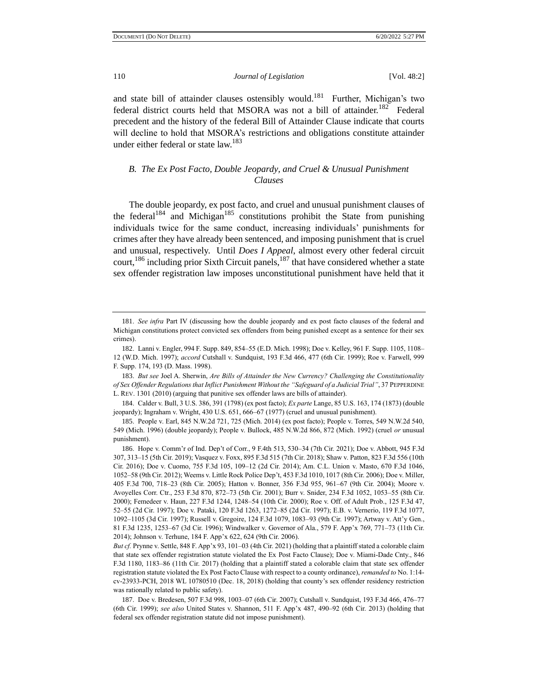and state bill of attainder clauses ostensibly would.<sup>181</sup> Further, Michigan's two federal district courts held that MSORA was not a bill of attainder.<sup>182</sup> Federal precedent and the history of the federal Bill of Attainder Clause indicate that courts will decline to hold that MSORA's restrictions and obligations constitute attainder under either federal or state law.<sup>183</sup>

# *B. The Ex Post Facto, Double Jeopardy, and Cruel & Unusual Punishment Clauses*

The double jeopardy, ex post facto, and cruel and unusual punishment clauses of the federal<sup>184</sup> and Michigan<sup>185</sup> constitutions prohibit the State from punishing individuals twice for the same conduct, increasing individuals' punishments for crimes after they have already been sentenced, and imposing punishment that is cruel and unusual, respectively. Until *Does I Appeal*, almost every other federal circuit court,<sup>186</sup> including prior Sixth Circuit panels,<sup>187</sup> that have considered whether a state sex offender registration law imposes unconstitutional punishment have held that it

<sup>181.</sup> *See infra* Part IV (discussing how the double jeopardy and ex post facto clauses of the federal and Michigan constitutions protect convicted sex offenders from being punished except as a sentence for their sex crimes).

<sup>182.</sup> Lanni v. Engler, 994 F. Supp. 849, 854–55 (E.D. Mich. 1998); Doe v. Kelley, 961 F. Supp. 1105, 1108– 12 (W.D. Mich. 1997); *accord* Cutshall v. Sundquist, 193 F.3d 466, 477 (6th Cir. 1999); Roe v. Farwell, 999 F. Supp. 174, 193 (D. Mass. 1998).

<sup>183.</sup> *But see* Joel A. Sherwin, *Are Bills of Attainder the New Currency? Challenging the Constitutionality of Sex Offender Regulations that Inflict Punishment Without the "Safeguard of a Judicial Trial"*, 37 PEPPERDINE L. REV. 1301 (2010) (arguing that punitive sex offender laws are bills of attainder).

<sup>184.</sup> Calder v. Bull, 3 U.S. 386, 391 (1798) (ex post facto); *Ex parte* Lange, 85 U.S. 163, 174 (1873) (double jeopardy); Ingraham v. Wright, 430 U.S. 651, 666–67 (1977) (cruel and unusual punishment).

<sup>185.</sup> People v. Earl, 845 N.W.2d 721, 725 (Mich. 2014) (ex post facto); People v. Torres, 549 N.W.2d 540, 549 (Mich. 1996) (double jeopardy); People v. Bullock, 485 N.W.2d 866, 872 (Mich. 1992) (cruel *or* unusual punishment).

<sup>186.</sup> Hope v. Comm'r of Ind. Dep't of Corr., 9 F.4th 513, 530–34 (7th Cir. 2021); Doe v. Abbott, 945 F.3d 307, 313–15 (5th Cir. 2019); Vasquez v. Foxx, 895 F.3d 515 (7th Cir. 2018); Shaw v. Patton, 823 F.3d 556 (10th Cir. 2016); Doe v. Cuomo, 755 F.3d 105, 109–12 (2d Cir. 2014); Am. C.L. Union v. Masto, 670 F.3d 1046, 1052–58 (9th Cir. 2012); Weems v. Little Rock Police Dep't, 453 F.3d 1010, 1017 (8th Cir. 2006); Doe v. Miller, 405 F.3d 700, 718–23 (8th Cir. 2005); Hatton v. Bonner, 356 F.3d 955, 961–67 (9th Cir. 2004); Moore v. Avoyelles Corr. Ctr., 253 F.3d 870, 872–73 (5th Cir. 2001); Burr v. Snider, 234 F.3d 1052, 1053–55 (8th Cir. 2000); Femedeer v. Haun, 227 F.3d 1244, 1248–54 (10th Cir. 2000); Roe v. Off. of Adult Prob., 125 F.3d 47, 52–55 (2d Cir. 1997); Doe v. Pataki, 120 F.3d 1263, 1272–85 (2d Cir. 1997); E.B. v. Vernerio, 119 F.3d 1077, 1092–1105 (3d Cir. 1997); Russell v. Gregoire, 124 F.3d 1079, 1083–93 (9th Cir. 1997); Artway v. Att'y Gen., 81 F.3d 1235, 1253–67 (3d Cir. 1996); Windwalker v. Governor of Ala., 579 F. App'x 769, 771–73 (11th Cir. 2014); Johnson v. Terhune, 184 F. App'x 622, 624 (9th Cir. 2006).

*But cf.* Prynne v. Settle, 848 F. App'x 93, 101–03 (4th Cir. 2021) (holding that a plaintiff stated a colorable claim that state sex offender registration statute violated the Ex Post Facto Clause); Doe v. Miami-Dade Cnty., 846 F.3d 1180, 1183–86 (11th Cir. 2017) (holding that a plaintiff stated a colorable claim that state sex offender registration statute violated the Ex Post Facto Clause with respect to a county ordinance), *remanded to* No. 1:14 cv-23933-PCH, 2018 WL 10780510 (Dec. 18, 2018) (holding that county's sex offender residency restriction was rationally related to public safety).

<sup>187.</sup> Doe v. Bredesen, 507 F.3d 998, 1003–07 (6th Cir. 2007); Cutshall v. Sundquist, 193 F.3d 466, 476–77 (6th Cir. 1999); *see also* United States v. Shannon, 511 F. App'x 487, 490–92 (6th Cir. 2013) (holding that federal sex offender registration statute did not impose punishment).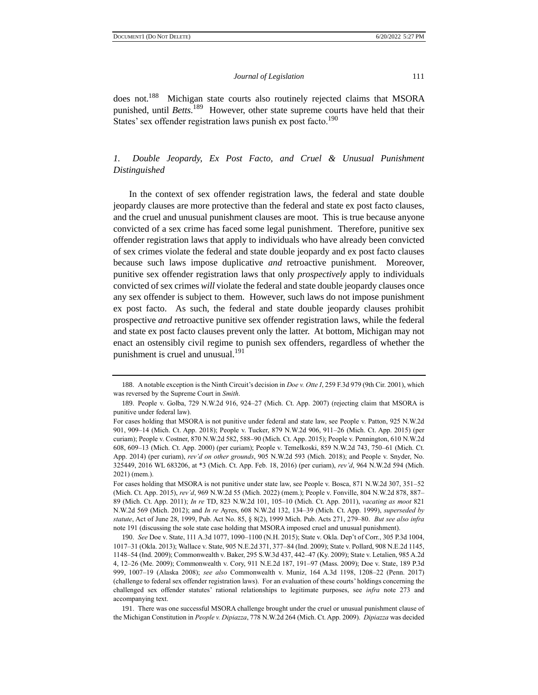does not.<sup>188</sup> Michigan state courts also routinely rejected claims that MSORA punished, until *Betts*. 189 However, other state supreme courts have held that their States' sex offender registration laws punish ex post facto.<sup>190</sup>

# *1. Double Jeopardy, Ex Post Facto, and Cruel & Unusual Punishment Distinguished*

In the context of sex offender registration laws, the federal and state double jeopardy clauses are more protective than the federal and state ex post facto clauses, and the cruel and unusual punishment clauses are moot. This is true because anyone convicted of a sex crime has faced some legal punishment. Therefore, punitive sex offender registration laws that apply to individuals who have already been convicted of sex crimes violate the federal and state double jeopardy and ex post facto clauses because such laws impose duplicative *and* retroactive punishment. Moreover, punitive sex offender registration laws that only *prospectively* apply to individuals convicted of sex crimes *will* violate the federal and state double jeopardy clauses once any sex offender is subject to them. However, such laws do not impose punishment ex post facto. As such, the federal and state double jeopardy clauses prohibit prospective *and* retroactive punitive sex offender registration laws, while the federal and state ex post facto clauses prevent only the latter. At bottom, Michigan may not enact an ostensibly civil regime to punish sex offenders, regardless of whether the punishment is cruel and unusual.<sup>191</sup>

<sup>188.</sup> A notable exception is the Ninth Circuit's decision in *Doe v. Otte I*, 259 F.3d 979 (9th Cir. 2001), which was reversed by the Supreme Court in *Smith*.

<sup>189.</sup> People v. Golba, 729 N.W.2d 916, 924–27 (Mich. Ct. App. 2007) (rejecting claim that MSORA is punitive under federal law).

For cases holding that MSORA is not punitive under federal and state law, see People v. Patton, 925 N.W.2d 901, 909–14 (Mich. Ct. App. 2018); People v. Tucker, 879 N.W.2d 906, 911–26 (Mich. Ct. App. 2015) (per curiam); People v. Costner, 870 N.W.2d 582, 588–90 (Mich. Ct. App. 2015); People v. Pennington, 610 N.W.2d 608, 609–13 (Mich. Ct. App. 2000) (per curiam); People v. Temelkoski, 859 N.W.2d 743, 750–61 (Mich. Ct. App. 2014) (per curiam), *rev'd on other grounds*, 905 N.W.2d 593 (Mich. 2018); and People v. Snyder, No. 325449, 2016 WL 683206, at \*3 (Mich. Ct. App. Feb. 18, 2016) (per curiam), *rev'd*, 964 N.W.2d 594 (Mich. 2021) (mem.).

For cases holding that MSORA is not punitive under state law, see People v. Bosca, 871 N.W.2d 307, 351–52 (Mich. Ct. App. 2015), *rev'd*, 969 N.W.2d 55 (Mich. 2022) (mem.); People v. Fonville, 804 N.W.2d 878, 887– 89 (Mich. Ct. App. 2011); *In re* TD, 823 N.W.2d 101, 105–10 (Mich. Ct. App. 2011), *vacating as moot* 821 N.W.2d 569 (Mich. 2012); and *In re* Ayres, 608 N.W.2d 132, 134–39 (Mich. Ct. App. 1999), *superseded by statute*, Act of June 28, 1999, Pub. Act No. 85, § 8(2), 1999 Mich. Pub. Acts 271, 279–80. *But see also infra* note 191 (discussing the sole state case holding that MSORA imposed cruel and unusual punishment).

<sup>190.</sup> *See* Doe v. State, 111 A.3d 1077, 1090–1100 (N.H. 2015); State v. Okla. Dep't of Corr., 305 P.3d 1004, 1017–31 (Okla. 2013); Wallace v. State, 905 N.E.2d 371, 377–84 (Ind. 2009); State v. Pollard, 908 N.E.2d 1145, 1148–54 (Ind. 2009); Commonwealth v. Baker, 295 S.W.3d 437, 442–47 (Ky. 2009); State v. Letalien, 985 A.2d 4, 12–26 (Me. 2009); Commonwealth v. Cory, 911 N.E.2d 187, 191–97 (Mass. 2009); Doe v. State, 189 P.3d 999, 1007–19 (Alaska 2008); *see also* Commonwealth v. Muniz, 164 A.3d 1198, 1208–22 (Penn. 2017) (challenge to federal sex offender registration laws). For an evaluation of these courts' holdings concerning the challenged sex offender statutes' rational relationships to legitimate purposes, see *infra* note 273 and accompanying text.

<sup>191.</sup> There was one successful MSORA challenge brought under the cruel or unusual punishment clause of the Michigan Constitution in *People v. Dipiazza*, 778 N.W.2d 264 (Mich. Ct. App. 2009). *Dipiazza* was decided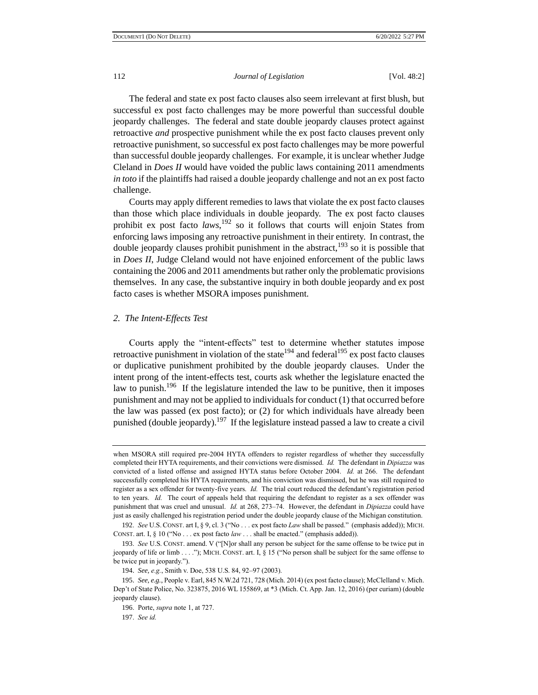The federal and state ex post facto clauses also seem irrelevant at first blush, but successful ex post facto challenges may be more powerful than successful double jeopardy challenges. The federal and state double jeopardy clauses protect against retroactive *and* prospective punishment while the ex post facto clauses prevent only retroactive punishment, so successful ex post facto challenges may be more powerful than successful double jeopardy challenges. For example, it is unclear whether Judge Cleland in *Does II* would have voided the public laws containing 2011 amendments *in toto* if the plaintiffs had raised a double jeopardy challenge and not an ex post facto challenge.

Courts may apply different remedies to laws that violate the ex post facto clauses than those which place individuals in double jeopardy. The ex post facto clauses prohibit ex post facto *laws*, <sup>192</sup> so it follows that courts will enjoin States from enforcing laws imposing any retroactive punishment in their entirety. In contrast, the double jeopardy clauses prohibit punishment in the abstract,  $193$  so it is possible that in *Does II*, Judge Cleland would not have enjoined enforcement of the public laws containing the 2006 and 2011 amendments but rather only the problematic provisions themselves. In any case, the substantive inquiry in both double jeopardy and ex post facto cases is whether MSORA imposes punishment.

#### *2. The Intent-Effects Test*

Courts apply the "intent-effects" test to determine whether statutes impose retroactive punishment in violation of the state<sup>194</sup> and federal<sup>195</sup> ex post facto clauses or duplicative punishment prohibited by the double jeopardy clauses. Under the intent prong of the intent-effects test, courts ask whether the legislature enacted the law to punish.<sup>196</sup> If the legislature intended the law to be punitive, then it imposes punishment and may not be applied to individuals for conduct (1) that occurred before the law was passed (ex post facto); or (2) for which individuals have already been punished (double jeopardy).<sup>197</sup> If the legislature instead passed a law to create a civil

194. *See, e.g.*, Smith v. Doe, 538 U.S. 84, 92–97 (2003).

when MSORA still required pre-2004 HYTA offenders to register regardless of whether they successfully completed their HYTA requirements, and their convictions were dismissed. *Id.* The defendant in *Dipiazza* was convicted of a listed offense and assigned HYTA status before October 2004. *Id.* at 266. The defendant successfully completed his HYTA requirements, and his conviction was dismissed, but he was still required to register as a sex offender for twenty-five years. *Id.* The trial court reduced the defendant's registration period to ten years. *Id.* The court of appeals held that requiring the defendant to register as a sex offender was punishment that was cruel and unusual. *Id.* at 268, 273–74. However, the defendant in *Dipiazza* could have just as easily challenged his registration period under the double jeopardy clause of the Michigan constitution.

<sup>192.</sup> *See* U.S. CONST. art I, § 9, cl. 3 ("No . . . ex post facto *Law* shall be passed." (emphasis added)); MICH. CONST. art. I, § 10 ("No . . . ex post facto *law* . . . shall be enacted." (emphasis added)).

<sup>193.</sup> *See* U.S. CONST. amend. V ("[N]or shall any person be subject for the same offense to be twice put in jeopardy of life or limb . . . ."); MICH. CONST. art. I, § 15 ("No person shall be subject for the same offense to be twice put in jeopardy.").

<sup>195.</sup> *See, e.g.*, People v. Earl, 845 N.W.2d 721, 728 (Mich. 2014) (ex post facto clause); McClelland v. Mich. Dep't of State Police, No. 323875, 2016 WL 155869, at \*3 (Mich. Ct. App. Jan. 12, 2016) (per curiam) (double jeopardy clause).

<sup>196.</sup> Porte, *supra* note 1, at 727.

<sup>197.</sup> *See id.*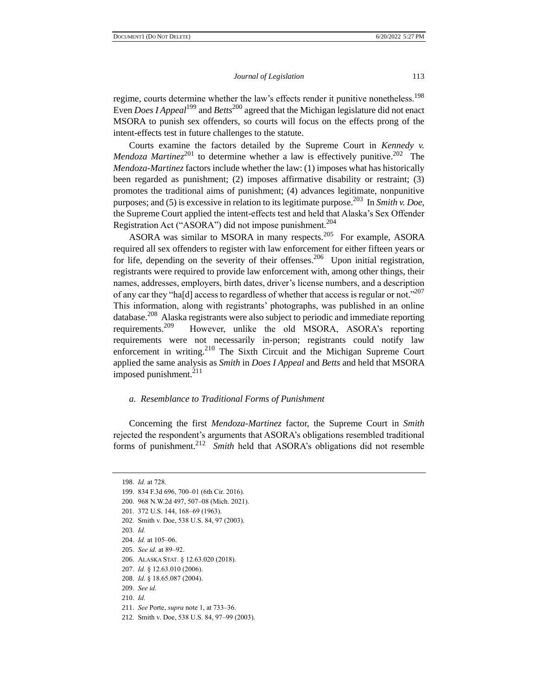regime, courts determine whether the law's effects render it punitive nonetheless.<sup>198</sup> Even *Does I Appeal*<sup>199</sup> and *Betts*<sup>200</sup> agreed that the Michigan legislature did not enact MSORA to punish sex offenders, so courts will focus on the effects prong of the intent-effects test in future challenges to the statute.

Courts examine the factors detailed by the Supreme Court in *Kennedy v. Mendoza Martinez*<sup>201</sup> to determine whether a law is effectively punitive.<sup>202</sup> The *Mendoza-Martinez* factors include whether the law: (1) imposes what has historically been regarded as punishment; (2) imposes affirmative disability or restraint; (3) promotes the traditional aims of punishment; (4) advances legitimate, nonpunitive purposes; and (5) is excessive in relation to its legitimate purpose.<sup>203</sup> In *Smith v. Doe*, the Supreme Court applied the intent-effects test and held that Alaska's Sex Offender Registration Act ("ASORA") did not impose punishment.<sup>204</sup>

ASORA was similar to MSORA in many respects.<sup>205</sup> For example, ASORA required all sex offenders to register with law enforcement for either fifteen years or for life, depending on the severity of their offenses.<sup>206</sup> Upon initial registration, registrants were required to provide law enforcement with, among other things, their names, addresses, employers, birth dates, driver's license numbers, and a description of any car they "ha[d] access to regardless of whether that access is regular or not."<sup>207</sup> This information, along with registrants' photographs, was published in an online database.<sup>208</sup> Alaska registrants were also subject to periodic and immediate reporting requirements.<sup>209</sup> However, unlike the old MSORA, ASORA's reporting requirements were not necessarily in-person; registrants could notify law enforcement in writing. $2^{10}$  The Sixth Circuit and the Michigan Supreme Court applied the same analysis as *Smith* in *Does I Appeal* and *Betts* and held that MSORA imposed punishment. $^{211}$ 

#### *a. Resemblance to Traditional Forms of Punishment*

Concerning the first *Mendoza-Martinez* factor, the Supreme Court in *Smith* rejected the respondent's arguments that ASORA's obligations resembled traditional forms of punishment.<sup>212</sup> Smith held that ASORA's obligations did not resemble

203. *Id.*

205. *See id.* at 89–92.

209. *See id.* 

<sup>198.</sup> *Id.* at 728.

<sup>199.</sup> 834 F.3d 696, 700–01 (6th Cir. 2016).

<sup>200.</sup> 968 N.W.2d 497, 507–08 (Mich. 2021).

<sup>201.</sup> 372 U.S. 144, 168–69 (1963).

<sup>202.</sup> Smith v. Doe, 538 U.S. 84, 97 (2003).

<sup>204.</sup> *Id.* at 105–06.

<sup>206.</sup> ALASKA STAT. § 12.63.020 (2018).

<sup>207.</sup> *Id.* § 12.63.010 (2006).

<sup>208.</sup> *Id.* § 18.65.087 (2004).

<sup>210.</sup> *Id.*

<sup>211.</sup> *See* Porte, *supra* note 1, at 733–36.

<sup>212.</sup> Smith v. Doe, 538 U.S. 84, 97–99 (2003).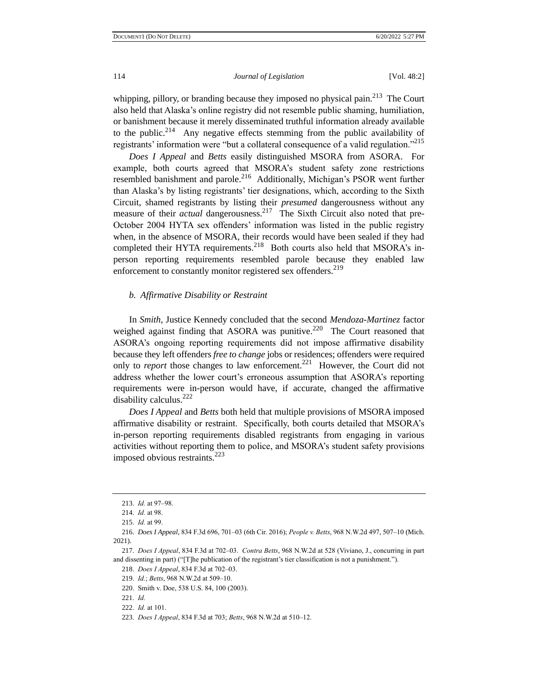whipping, pillory, or branding because they imposed no physical pain.<sup>213</sup> The Court also held that Alaska's online registry did not resemble public shaming, humiliation, or banishment because it merely disseminated truthful information already available to the public.<sup>214</sup> Any negative effects stemming from the public availability of registrants' information were "but a collateral consequence of a valid regulation."<sup>215</sup>

*Does I Appeal* and *Betts* easily distinguished MSORA from ASORA. For example, both courts agreed that MSORA's student safety zone restrictions resembled banishment and parole.<sup>216</sup> Additionally, Michigan's PSOR went further than Alaska's by listing registrants' tier designations, which, according to the Sixth Circuit, shamed registrants by listing their *presumed* dangerousness without any measure of their *actual* dangerousness.<sup>217</sup> The Sixth Circuit also noted that pre-October 2004 HYTA sex offenders' information was listed in the public registry when, in the absence of MSORA, their records would have been sealed if they had completed their HYTA requirements.<sup>218</sup> Both courts also held that MSORA's inperson reporting requirements resembled parole because they enabled law enforcement to constantly monitor registered sex offenders.<sup>219</sup>

#### *b. Affirmative Disability or Restraint*

In *Smith*, Justice Kennedy concluded that the second *Mendoza-Martinez* factor weighed against finding that ASORA was punitive. $220$  The Court reasoned that ASORA's ongoing reporting requirements did not impose affirmative disability because they left offenders *free to change* jobs or residences; offenders were required only to *report* those changes to law enforcement.<sup>221</sup> However, the Court did not address whether the lower court's erroneous assumption that ASORA's reporting requirements were in-person would have, if accurate, changed the affirmative disability calculus.<sup>222</sup>

*Does I Appeal* and *Betts* both held that multiple provisions of MSORA imposed affirmative disability or restraint. Specifically, both courts detailed that MSORA's in-person reporting requirements disabled registrants from engaging in various activities without reporting them to police, and MSORA's student safety provisions imposed obvious restraints. $^{223}$ 

<sup>213.</sup> *Id.* at 97–98.

<sup>214.</sup> *Id.* at 98.

<sup>215.</sup> *Id.* at 99.

<sup>216.</sup> *Does I Appeal*, 834 F.3d 696, 701–03 (6th Cir. 2016); *People v. Betts*, 968 N.W.2d 497, 507–10 (Mich. 2021).

<sup>217.</sup> *Does I Appeal*, 834 F.3d at 702–03. *Contra Betts*, 968 N.W.2d at 528 (Viviano, J., concurring in part and dissenting in part) ("[T]he publication of the registrant's tier classification is not a punishment.").

<sup>218.</sup> *Does I Appeal*, 834 F.3d at 702–03.

<sup>219.</sup> *Id.*; *Betts*, 968 N.W.2d at 509–10.

<sup>220.</sup> Smith v. Doe, 538 U.S. 84, 100 (2003).

<sup>221.</sup> *Id.*

<sup>222.</sup> *Id.* at 101.

<sup>223.</sup> *Does I Appeal*, 834 F.3d at 703; *Betts*, 968 N.W.2d at 510–12.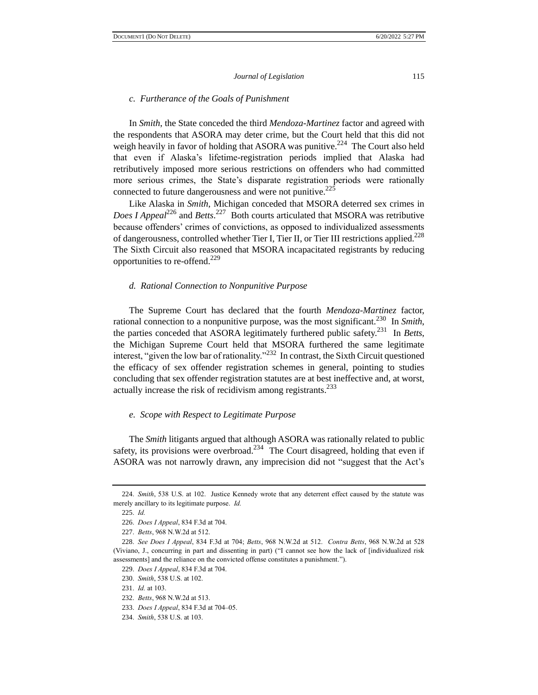#### *c. Furtherance of the Goals of Punishment*

In *Smith*, the State conceded the third *Mendoza-Martinez* factor and agreed with the respondents that ASORA may deter crime, but the Court held that this did not weigh heavily in favor of holding that ASORA was punitive.<sup>224</sup> The Court also held that even if Alaska's lifetime-registration periods implied that Alaska had retributively imposed more serious restrictions on offenders who had committed more serious crimes, the State's disparate registration periods were rationally connected to future dangerousness and were not punitive.<sup>225</sup>

Like Alaska in *Smith*, Michigan conceded that MSORA deterred sex crimes in Does I Appeal<sup>226</sup> and *Betts*.<sup>227</sup> Both courts articulated that MSORA was retributive because offenders' crimes of convictions, as opposed to individualized assessments of dangerousness, controlled whether Tier I, Tier II, or Tier III restrictions applied.<sup>228</sup> The Sixth Circuit also reasoned that MSORA incapacitated registrants by reducing opportunities to re-offend.<sup>229</sup>

#### *d. Rational Connection to Nonpunitive Purpose*

The Supreme Court has declared that the fourth *Mendoza-Martinez* factor, rational connection to a nonpunitive purpose, was the most significant.<sup>230</sup> In *Smith*, the parties conceded that ASORA legitimately furthered public safety.<sup>231</sup> In *Betts*, the Michigan Supreme Court held that MSORA furthered the same legitimate interest, "given the low bar of rationality."<sup>232</sup> In contrast, the Sixth Circuit questioned the efficacy of sex offender registration schemes in general, pointing to studies concluding that sex offender registration statutes are at best ineffective and, at worst, actually increase the risk of recidivism among registrants.<sup>233</sup>

### *e. Scope with Respect to Legitimate Purpose*

The *Smith* litigants argued that although ASORA was rationally related to public safety, its provisions were overbroad.<sup>234</sup> The Court disagreed, holding that even if ASORA was not narrowly drawn, any imprecision did not "suggest that the Act's

<sup>224.</sup> *Smith*, 538 U.S. at 102. Justice Kennedy wrote that any deterrent effect caused by the statute was merely ancillary to its legitimate purpose. *Id.*

<sup>225.</sup> *Id.*

<sup>226.</sup> *Does I Appeal*, 834 F.3d at 704.

<sup>227.</sup> *Betts*, 968 N.W.2d at 512.

<sup>228.</sup> *See Does I Appeal*, 834 F.3d at 704; *Betts*, 968 N.W.2d at 512. *Contra Betts*, 968 N.W.2d at 528 (Viviano, J., concurring in part and dissenting in part) ("I cannot see how the lack of [individualized risk assessments] and the reliance on the convicted offense constitutes a punishment.").

<sup>229.</sup> *Does I Appeal*, 834 F.3d at 704.

<sup>230.</sup> *Smith*, 538 U.S. at 102.

<sup>231.</sup> *Id.* at 103.

<sup>232.</sup> *Betts*, 968 N.W.2d at 513.

<sup>233.</sup> *Does I Appeal*, 834 F.3d at 704–05.

<sup>234.</sup> *Smith*, 538 U.S. at 103.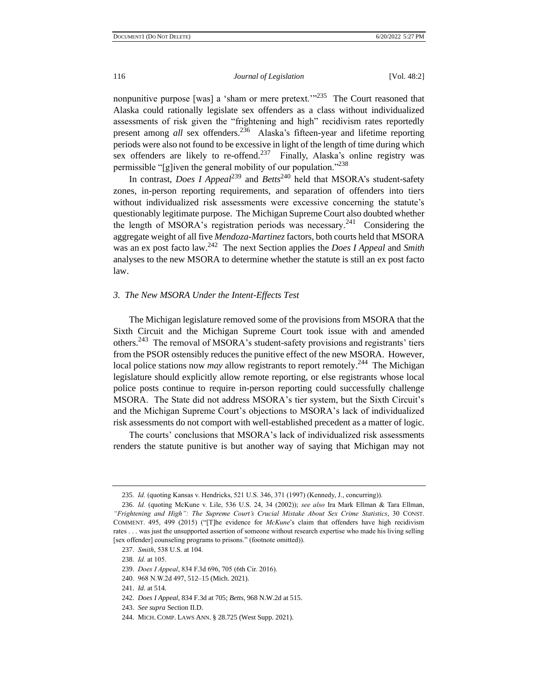nonpunitive purpose [was] a 'sham or mere pretext." $235$  The Court reasoned that Alaska could rationally legislate sex offenders as a class without individualized assessments of risk given the "frightening and high" recidivism rates reportedly present among *all* sex offenders.<sup>236</sup> Alaska's fifteen-year and lifetime reporting periods were also not found to be excessive in light of the length of time during which sex offenders are likely to re-offend.<sup>237</sup> Finally, Alaska's online registry was permissible "[g]iven the general mobility of our population."<sup>238</sup>

In contrast, *Does I Appeal*<sup>239</sup> and *Betts*<sup>240</sup> held that MSORA's student-safety zones, in-person reporting requirements, and separation of offenders into tiers without individualized risk assessments were excessive concerning the statute's questionably legitimate purpose. The Michigan Supreme Court also doubted whether the length of MSORA's registration periods was necessary.<sup>241</sup> Considering the aggregate weight of all five *Mendoza-Martinez* factors, both courts held that MSORA was an ex post facto law.<sup>242</sup> The next Section applies the *Does I Appeal* and *Smith* analyses to the new MSORA to determine whether the statute is still an ex post facto law.

#### *3. The New MSORA Under the Intent-Effects Test*

The Michigan legislature removed some of the provisions from MSORA that the Sixth Circuit and the Michigan Supreme Court took issue with and amended others.<sup>243</sup> The removal of MSORA's student-safety provisions and registrants' tiers from the PSOR ostensibly reduces the punitive effect of the new MSORA. However, local police stations now *may* allow registrants to report remotely.<sup>244</sup> The Michigan legislature should explicitly allow remote reporting, or else registrants whose local police posts continue to require in-person reporting could successfully challenge MSORA. The State did not address MSORA's tier system, but the Sixth Circuit's and the Michigan Supreme Court's objections to MSORA's lack of individualized risk assessments do not comport with well-established precedent as a matter of logic.

The courts' conclusions that MSORA's lack of individualized risk assessments renders the statute punitive is but another way of saying that Michigan may not

<sup>235.</sup> *Id.* (quoting Kansas v. Hendricks, 521 U.S. 346, 371 (1997) (Kennedy, J., concurring)).

<sup>236.</sup> *Id.* (quoting McKune v. Lile, 536 U.S. 24, 34 (2002)); *see also* Ira Mark Ellman & Tara Ellman, *"Frightening and High": The Supreme Court's Crucial Mistake About Sex Crime Statistics*, 30 CONST. COMMENT. 495, 499 (2015) ("[T]he evidence for *McKune*'s claim that offenders have high recidivism rates . . . was just the unsupported assertion of someone without research expertise who made his living selling [sex offender] counseling programs to prisons." (footnote omitted)).

<sup>237.</sup> *Smith*, 538 U.S. at 104.

<sup>238.</sup> *Id.* at 105.

<sup>239.</sup> *Does I Appeal*, 834 F.3d 696, 705 (6th Cir. 2016).

<sup>240.</sup> 968 N.W.2d 497, 512–15 (Mich. 2021).

<sup>241.</sup> *Id.* at 514.

<sup>242.</sup> *Does I Appeal*, 834 F.3d at 705; *Betts*, 968 N.W.2d at 515.

<sup>243.</sup> *See supra* Section II.D.

<sup>244.</sup> MICH. COMP. LAWS ANN. § 28.725 (West Supp. 2021).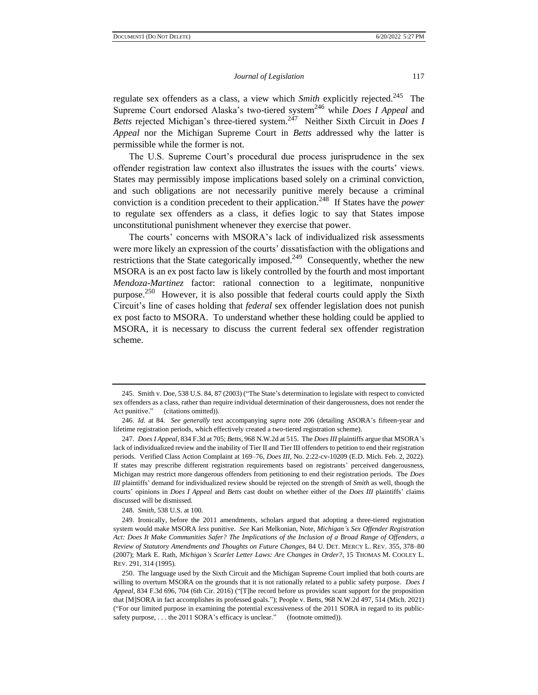regulate sex offenders as a class, a view which *Smith* explicitly rejected.<sup>245</sup> The Supreme Court endorsed Alaska's two-tiered system<sup>246</sup> while *Does I Appeal* and Betts rejected Michigan's three-tiered system.<sup>247</sup> Neither Sixth Circuit in *Does I Appeal* nor the Michigan Supreme Court in *Betts* addressed why the latter is permissible while the former is not.

The U.S. Supreme Court's procedural due process jurisprudence in the sex offender registration law context also illustrates the issues with the courts' views. States may permissibly impose implications based solely on a criminal conviction, and such obligations are not necessarily punitive merely because a criminal conviction is a condition precedent to their application.<sup>248</sup> If States have the *power* to regulate sex offenders as a class, it defies logic to say that States impose unconstitutional punishment whenever they exercise that power.

The courts' concerns with MSORA's lack of individualized risk assessments were more likely an expression of the courts' dissatisfaction with the obligations and restrictions that the State categorically imposed.<sup>249</sup> Consequently, whether the new MSORA is an ex post facto law is likely controlled by the fourth and most important *Mendoza-Martinez* factor: rational connection to a legitimate, nonpunitive purpose.<sup>250</sup> However, it is also possible that federal courts could apply the Sixth Circuit's line of cases holding that *federal* sex offender legislation does not punish ex post facto to MSORA. To understand whether these holding could be applied to MSORA, it is necessary to discuss the current federal sex offender registration scheme.

248. *Smith*, 538 U.S. at 100.

<sup>245.</sup> Smith v. Doe, 538 U.S. 84, 87 (2003) ("The State's determination to legislate with respect to convicted sex offenders as a class, rather than require individual determination of their dangerousness, does not render the Act punitive." (citations omitted)).

<sup>246.</sup> *Id.* at 84. *See generally* text accompanying *supra* note 206 (detailing ASORA's fifteen-year and lifetime registration periods, which effectively created a two-tiered registration scheme).

<sup>247.</sup> *Does I Appeal*, 834 F.3d at 705; *Betts*, 968 N.W.2d at 515. The *Does III* plaintiffs argue that MSORA's lack of individualized review and the inability of Tier II and Tier III offenders to petition to end their registration periods. Verified Class Action Complaint at 169–76, *Does III*, No. 2:22-cv-10209 (E.D. Mich. Feb. 2, 2022). If states may prescribe different registration requirements based on registrants' perceived dangerousness, Michigan may restrict more dangerous offenders from petitioning to end their registration periods. The *Does III* plaintiffs' demand for individualized review should be rejected on the strength of *Smith* as well, though the courts' opinions in *Does I Appeal* and *Betts* cast doubt on whether either of the *Does III* plaintiffs' claims discussed will be dismissed.

<sup>249.</sup> Ironically, before the 2011 amendments, scholars argued that adopting a three-tiered registration system would make MSORA *less* punitive. *See* Kari Melkonian, Note, *Michigan's Sex Offender Registration Act: Does It Make Communities Safer? The Implications of the Inclusion of a Broad Range of Offenders, a Review of Statutory Amendments and Thoughts on Future Changes*, 84 U. DET. MERCY L. REV. 355, 378–80 (2007); Mark E. Rath, *Michigan's Scarlet Letter Laws: Are Changes in Order?*, 15 THOMAS M. COOLEY L. REV. 291, 314 (1995).

<sup>250.</sup> The language used by the Sixth Circuit and the Michigan Supreme Court implied that both courts are willing to overturn MSORA on the grounds that it is not rationally related to a public safety purpose. *Does I Appeal*, 834 F.3d 696, 704 (6th Cir. 2016) ("[T]he record before us provides scant support for the proposition that [M]SORA in fact accomplishes its professed goals."); People v. Betts, 968 N.W.2d 497, 514 (Mich. 2021) ("For our limited purpose in examining the potential excessiveness of the 2011 SORA in regard to its publicsafety purpose, . . . the 2011 SORA's efficacy is unclear." (footnote omitted)).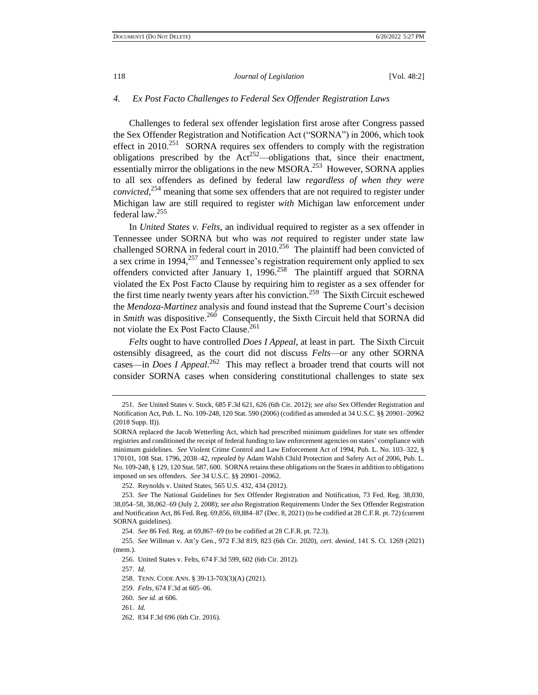#### *4. Ex Post Facto Challenges to Federal Sex Offender Registration Laws*

Challenges to federal sex offender legislation first arose after Congress passed the Sex Offender Registration and Notification Act ("SORNA") in 2006, which took effect in 2010.<sup>251</sup> SORNA requires sex offenders to comply with the registration obligations prescribed by the  $Act^{252}$ —obligations that, since their enactment, essentially mirror the obligations in the new MSORA.<sup>253</sup> However, SORNA applies to all sex offenders as defined by federal law *regardless of when they were convicted*, <sup>254</sup> meaning that some sex offenders that are not required to register under Michigan law are still required to register *with* Michigan law enforcement under federal law.<sup>255</sup>

In *United States v. Felts*, an individual required to register as a sex offender in Tennessee under SORNA but who was *not* required to register under state law challenged SORNA in federal court in 2010.<sup>256</sup> The plaintiff had been convicted of a sex crime in 1994,<sup>257</sup> and Tennessee's registration requirement only applied to sex offenders convicted after January 1,  $1996$ <sup>258</sup> The plaintiff argued that SORNA violated the Ex Post Facto Clause by requiring him to register as a sex offender for the first time nearly twenty years after his conviction.<sup>259</sup> The Sixth Circuit eschewed the *Mendoza-Martinez* analysis and found instead that the Supreme Court's decision in *Smith* was dispositive.<sup>260</sup> Consequently, the Sixth Circuit held that SORNA did not violate the Ex Post Facto Clause.<sup>261</sup>

*Felts* ought to have controlled *Does I Appeal*, at least in part. The Sixth Circuit ostensibly disagreed, as the court did not discuss *Felts*—or any other SORNA cases—in *Does I Appeal*. 262 This may reflect a broader trend that courts will not consider SORNA cases when considering constitutional challenges to state sex

252. Reynolds v. United States, 565 U.S. 432, 434 (2012).

<sup>251.</sup> *See* United States v. Stock, 685 F.3d 621, 626 (6th Cir. 2012); *see also* Sex Offender Registration and Notification Act, Pub. L. No. 109-248, 120 Stat. 590 (2006) (codified as amended at 34 U.S.C. §§ 20901–20962 (2018 Supp. II)).

SORNA replaced the Jacob Wetterling Act, which had prescribed minimum guidelines for state sex offender registries and conditioned the receipt of federal funding to law enforcement agencies on states' compliance with minimum guidelines. *See* Violent Crime Control and Law Enforcement Act of 1994, Pub. L. No. 103–322, § 170101, 108 Stat. 1796, 2038–42, *repealed by* Adam Walsh Child Protection and Safety Act of 2006, Pub. L. No. 109-248, § 129, 120 Stat. 587, 600. SORNA retains these obligations on the States in addition to obligations imposed on sex offenders. *See* 34 U.S.C. §§ 20901–20962.

<sup>253.</sup> *See* The National Guidelines for Sex Offender Registration and Notification, 73 Fed. Reg. 38,030, 38,054–58, 38,062–69 (July 2, 2008); *see also* Registration Requirements Under the Sex Offender Registration and Notification Act, 86 Fed. Reg. 69,856, 69,884–87 (Dec. 8, 2021) (to be codified at 28 C.F.R. pt. 72) (current SORNA guidelines).

<sup>254.</sup> *See* 86 Fed. Reg. at 69,867–69 (to be codified at 28 C.F.R. pt. 72.3).

<sup>255.</sup> *See* Willman v. Att'y Gen., 972 F.3d 819, 823 (6th Cir. 2020), *cert. denied*, 141 S. Ct. 1269 (2021) (mem.).

<sup>256.</sup> United States v. Felts, 674 F.3d 599, 602 (6th Cir. 2012).

<sup>257.</sup> *Id.*

<sup>258.</sup> TENN. CODE ANN. § 39-13-703(3)(A) (2021).

<sup>259.</sup> *Felts*, 674 F.3d at 605–06.

<sup>260.</sup> *See id.* at 606.

<sup>261.</sup> *Id.*

<sup>262.</sup> 834 F.3d 696 (6th Cir. 2016).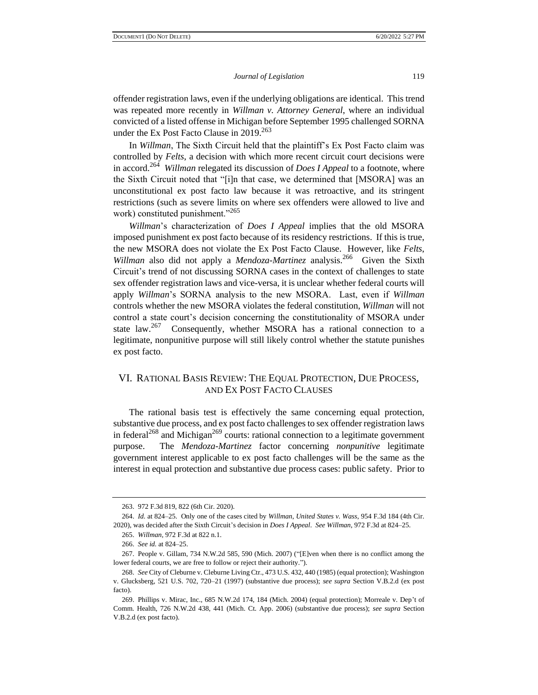offender registration laws, even if the underlying obligations are identical. This trend was repeated more recently in *Willman v. Attorney General*, where an individual convicted of a listed offense in Michigan before September 1995 challenged SORNA under the Ex Post Facto Clause in  $2019$ <sup>263</sup>

In *Willman*, The Sixth Circuit held that the plaintiff's Ex Post Facto claim was controlled by *Felts*, a decision with which more recent circuit court decisions were in accord.<sup>264</sup> *Willman* relegated its discussion of *Does I Appeal* to a footnote, where the Sixth Circuit noted that "[i]n that case, we determined that [MSORA] was an unconstitutional ex post facto law because it was retroactive, and its stringent restrictions (such as severe limits on where sex offenders were allowed to live and work) constituted punishment."<sup>265</sup>

*Willman*'s characterization of *Does I Appeal* implies that the old MSORA imposed punishment ex post facto because of its residency restrictions. If this is true, the new MSORA does not violate the Ex Post Facto Clause. However, like *Felts*, Willman also did not apply a *Mendoza-Martinez* analysis.<sup>266</sup> Given the Sixth Circuit's trend of not discussing SORNA cases in the context of challenges to state sex offender registration laws and vice-versa, it is unclear whether federal courts will apply *Willman*'s SORNA analysis to the new MSORA. Last, even if *Willman* controls whether the new MSORA violates the federal constitution, *Willman* will not control a state court's decision concerning the constitutionality of MSORA under state law.<sup>267</sup> Consequently, whether MSORA has a rational connection to a legitimate, nonpunitive purpose will still likely control whether the statute punishes ex post facto.

# VI. RATIONAL BASIS REVIEW: THE EQUAL PROTECTION, DUE PROCESS, AND EX POST FACTO CLAUSES

The rational basis test is effectively the same concerning equal protection, substantive due process, and ex post facto challenges to sex offender registration laws in federal<sup>268</sup> and Michigan<sup>269</sup> courts: rational connection to a legitimate government purpose. The *Mendoza-Martinez* factor concerning *nonpunitive* legitimate government interest applicable to ex post facto challenges will be the same as the interest in equal protection and substantive due process cases: public safety. Prior to

<sup>263.</sup> 972 F.3d 819, 822 (6th Cir. 2020).

<sup>264.</sup> *Id.* at 824–25. Only one of the cases cited by *Willman*, *United States v. Wass*, 954 F.3d 184 (4th Cir. 2020), was decided after the Sixth Circuit's decision in *Does I Appeal*. *See Willman*, 972 F.3d at 824–25.

<sup>265.</sup> *Willman*, 972 F.3d at 822 n.1.

<sup>266.</sup> *See id.* at 824–25.

<sup>267.</sup> People v. Gillam, 734 N.W.2d 585, 590 (Mich. 2007) ("[E]ven when there is no conflict among the lower federal courts, we are free to follow or reject their authority.").

<sup>268.</sup> *See* City of Cleburne v. Cleburne Living Ctr., 473 U.S. 432, 440 (1985) (equal protection); Washington v. Glucksberg, 521 U.S. 702, 720–21 (1997) (substantive due process); *see supra* Section V.B.2.d (ex post facto).

<sup>269.</sup> Phillips v. Mirac, Inc., 685 N.W.2d 174, 184 (Mich. 2004) (equal protection); Morreale v. Dep't of Comm. Health, 726 N.W.2d 438, 441 (Mich. Ct. App. 2006) (substantive due process); *see supra* Section V.B.2.d (ex post facto).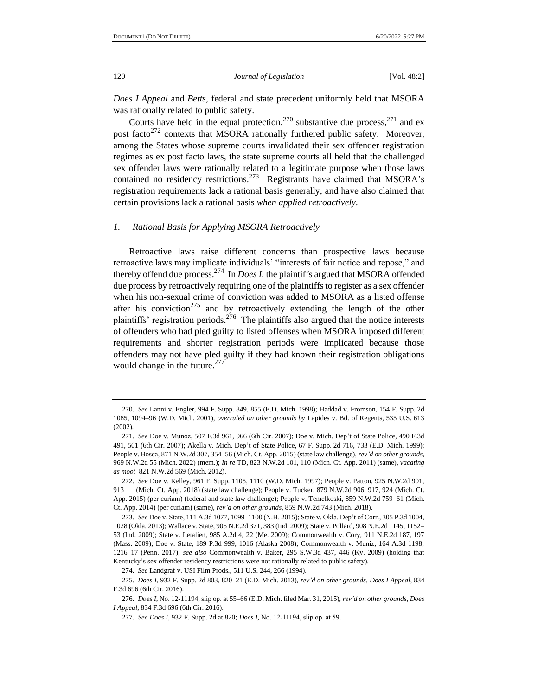*Does I Appeal* and *Betts*, federal and state precedent uniformly held that MSORA was rationally related to public safety.

Courts have held in the equal protection,  $270$  substantive due process,  $271$  and ex post facto<sup>272</sup> contexts that MSORA rationally furthered public safety. Moreover, among the States whose supreme courts invalidated their sex offender registration regimes as ex post facto laws, the state supreme courts all held that the challenged sex offender laws were rationally related to a legitimate purpose when those laws contained no residency restrictions.<sup>273</sup> Registrants have claimed that MSORA's registration requirements lack a rational basis generally, and have also claimed that certain provisions lack a rational basis *when applied retroactively*.

#### *1. Rational Basis for Applying MSORA Retroactively*

Retroactive laws raise different concerns than prospective laws because retroactive laws may implicate individuals' "interests of fair notice and repose," and thereby offend due process.<sup>274</sup> In *Does I*, the plaintiffs argued that MSORA offended due process by retroactively requiring one of the plaintiffs to register as a sex offender when his non-sexual crime of conviction was added to MSORA as a listed offense after his conviction<sup>275</sup> and by retroactively extending the length of the other plaintiffs' registration periods.<sup>276</sup> The plaintiffs also argued that the notice interests of offenders who had pled guilty to listed offenses when MSORA imposed different requirements and shorter registration periods were implicated because those offenders may not have pled guilty if they had known their registration obligations would change in the future.<sup>277</sup>

<sup>270.</sup> *See* Lanni v. Engler, 994 F. Supp. 849, 855 (E.D. Mich. 1998); Haddad v. Fromson, 154 F. Supp. 2d 1085, 1094–96 (W.D. Mich. 2001), *overruled on other grounds by* Lapides v. Bd. of Regents, 535 U.S. 613 (2002).

<sup>271.</sup> *See* Doe v. Munoz, 507 F.3d 961, 966 (6th Cir. 2007); Doe v. Mich. Dep't of State Police, 490 F.3d 491, 501 (6th Cir. 2007); Akella v. Mich. Dep't of State Police, 67 F. Supp. 2d 716, 733 (E.D. Mich. 1999); People v. Bosca, 871 N.W.2d 307, 354–56 (Mich. Ct. App. 2015) (state law challenge), *rev'd on other grounds*, 969 N.W.2d 55 (Mich. 2022) (mem.); *In re* TD, 823 N.W.2d 101, 110 (Mich. Ct. App. 2011) (same), *vacating as moot* 821 N.W.2d 569 (Mich. 2012).

<sup>272.</sup> *See* Doe v. Kelley, 961 F. Supp. 1105, 1110 (W.D. Mich. 1997); People v. Patton, 925 N.W.2d 901, 913 (Mich. Ct. App. 2018) (state law challenge); People v. Tucker, 879 N.W.2d 906, 917, 924 (Mich. Ct. App. 2015) (per curiam) (federal and state law challenge); People v. Temelkoski, 859 N.W.2d 759–61 (Mich. Ct. App. 2014) (per curiam) (same), *rev'd on other grounds*, 859 N.W.2d 743 (Mich. 2018).

<sup>273.</sup> *See* Doe v. State, 111 A.3d 1077, 1099–1100 (N.H. 2015); State v. Okla. Dep't of Corr., 305 P.3d 1004, 1028 (Okla. 2013); Wallace v. State, 905 N.E.2d 371, 383 (Ind. 2009); State v. Pollard, 908 N.E.2d 1145, 1152– 53 (Ind. 2009); State v. Letalien, 985 A.2d 4, 22 (Me. 2009); Commonwealth v. Cory, 911 N.E.2d 187, 197 (Mass. 2009); Doe v. State, 189 P.3d 999, 1016 (Alaska 2008); Commonwealth v. Muniz, 164 A.3d 1198, 1216–17 (Penn. 2017); *see also* Commonwealth v. Baker, 295 S.W.3d 437, 446 (Ky. 2009) (holding that Kentucky's sex offender residency restrictions were not rationally related to public safety).

<sup>274.</sup> *See* Landgraf v. USI Film Prods., 511 U.S. 244, 266 (1994).

<sup>275.</sup> *Does I*, 932 F. Supp. 2d 803, 820–21 (E.D. Mich. 2013), *rev'd on other grounds*, *Does I Appeal*, 834 F.3d 696 (6th Cir. 2016).

<sup>276.</sup> *Does I*, No. 12-11194, slip op. at 55–66 (E.D. Mich. filed Mar. 31, 2015), *rev'd on other grounds*, *Does I Appeal*, 834 F.3d 696 (6th Cir. 2016).

<sup>277.</sup> *See Does I*, 932 F. Supp. 2d at 820; *Does I*, No. 12-11194, slip op. at 59.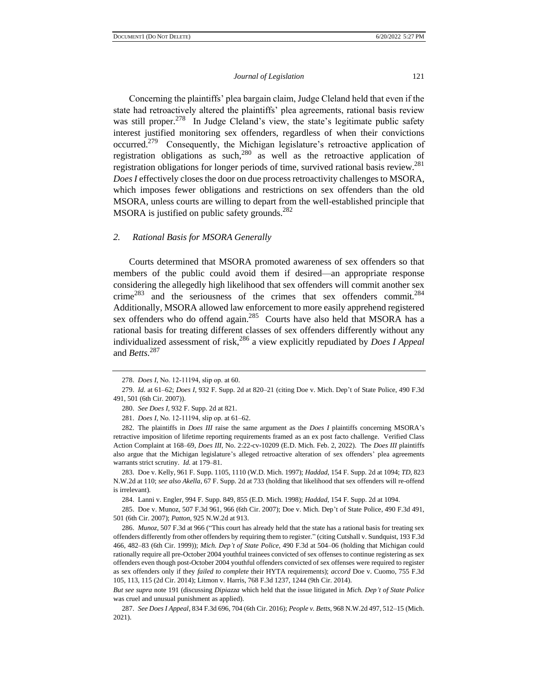Concerning the plaintiffs' plea bargain claim, Judge Cleland held that even if the state had retroactively altered the plaintiffs' plea agreements, rational basis review was still proper.<sup>278</sup> In Judge Cleland's view, the state's legitimate public safety interest justified monitoring sex offenders, regardless of when their convictions occurred.<sup>279</sup> Consequently, the Michigan legislature's retroactive application of registration obligations as such,  $280$  as well as the retroactive application of registration obligations for longer periods of time, survived rational basis review.<sup>281</sup> *Does I* effectively closes the door on due process retroactivity challenges to MSORA, which imposes fewer obligations and restrictions on sex offenders than the old MSORA, unless courts are willing to depart from the well-established principle that MSORA is justified on public safety grounds.<sup>282</sup>

#### *2. Rational Basis for MSORA Generally*

Courts determined that MSORA promoted awareness of sex offenders so that members of the public could avoid them if desired—an appropriate response considering the allegedly high likelihood that sex offenders will commit another sex crime<sup>283</sup> and the seriousness of the crimes that sex offenders commit.<sup>284</sup> Additionally, MSORA allowed law enforcement to more easily apprehend registered sex offenders who do offend again.<sup>285</sup> Courts have also held that MSORA has a rational basis for treating different classes of sex offenders differently without any individualized assessment of risk,<sup>286</sup> a view explicitly repudiated by *Does I Appeal* and *Betts*. 287

283. Doe v. Kelly, 961 F. Supp. 1105, 1110 (W.D. Mich. 1997); *Haddad*, 154 F. Supp. 2d at 1094; *TD*, 823 N.W.2d at 110; *see also Akella*, 67 F. Supp. 2d at 733 (holding that likelihood that sex offenders will re-offend is irrelevant).

284. Lanni v. Engler, 994 F. Supp. 849, 855 (E.D. Mich. 1998); *Haddad*, 154 F. Supp. 2d at 1094.

285. Doe v. Munoz, 507 F.3d 961, 966 (6th Cir. 2007); Doe v. Mich. Dep't of State Police, 490 F.3d 491, 501 (6th Cir. 2007); *Patton*, 925 N.W.2d at 913.

286. *Munoz*, 507 F.3d at 966 ("This court has already held that the state has a rational basis for treating sex offenders differently from other offenders by requiring them to register." (citing Cutshall v. Sundquist, 193 F.3d 466, 482–83 (6th Cir. 1999)); *Mich. Dep't of State Police*, 490 F.3d at 504–06 (holding that Michigan could rationally require all pre-October 2004 youthful trainees convicted of sex offenses to continue registering as sex offenders even though post-October 2004 youthful offenders convicted of sex offenses were required to register as sex offenders only if they *failed to complete* their HYTA requirements); *accord* Doe v. Cuomo, 755 F.3d 105, 113, 115 (2d Cir. 2014); Litmon v. Harris, 768 F.3d 1237, 1244 (9th Cir. 2014).

*But see supra* note 191 (discussing *Dipiazza* which held that the issue litigated in *Mich. Dep't of State Police*  was cruel and unusual punishment as applied).

<sup>278.</sup> *Does I*, No. 12-11194, slip op. at 60.

<sup>279.</sup> *Id.* at 61–62; *Does I*, 932 F. Supp. 2d at 820–21 (citing Doe v. Mich. Dep't of State Police, 490 F.3d 491, 501 (6th Cir. 2007)).

<sup>280.</sup> *See Does I*, 932 F. Supp. 2d at 821.

<sup>281.</sup> *Does I*, No. 12-11194, slip op. at 61–62.

<sup>282.</sup> The plaintiffs in *Does III* raise the same argument as the *Does I* plaintiffs concerning MSORA's retractive imposition of lifetime reporting requirements framed as an ex post facto challenge. Verified Class Action Complaint at 168–69, *Does III*, No. 2:22-cv-10209 (E.D. Mich. Feb. 2, 2022). The *Does III* plaintiffs also argue that the Michigan legislature's alleged retroactive alteration of sex offenders' plea agreements warrants strict scrutiny. *Id.* at 179–81.

<sup>287.</sup> *See Does I Appeal*, 834 F.3d 696, 704 (6th Cir. 2016); *People v. Betts*, 968 N.W.2d 497, 512–15 (Mich. 2021).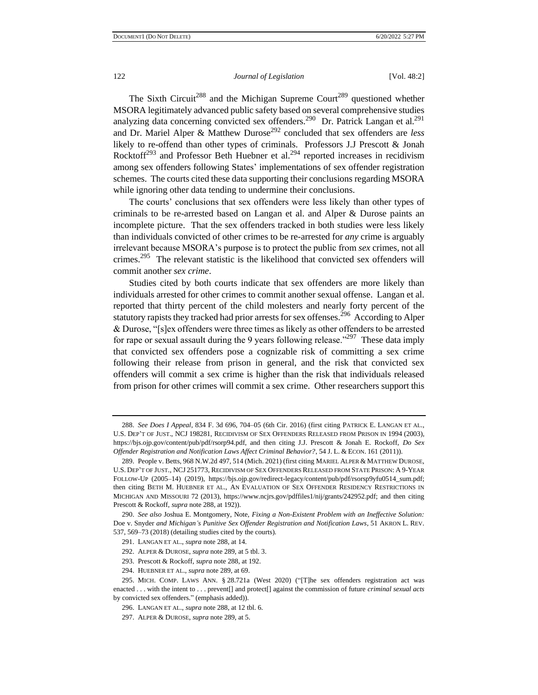The Sixth Circuit<sup>288</sup> and the Michigan Supreme Court<sup>289</sup> questioned whether MSORA legitimately advanced public safety based on several comprehensive studies analyzing data concerning convicted sex offenders.<sup>290</sup> Dr. Patrick Langan et al.<sup>291</sup> and Dr. Mariel Alper & Matthew Durose<sup>292</sup> concluded that sex offenders are *less* likely to re-offend than other types of criminals. Professors J.J Prescott & Jonah Rocktoff<sup>293</sup> and Professor Beth Huebner et al.<sup>294</sup> reported increases in recidivism among sex offenders following States' implementations of sex offender registration schemes. The courts cited these data supporting their conclusions regarding MSORA while ignoring other data tending to undermine their conclusions.

The courts' conclusions that sex offenders were less likely than other types of criminals to be re-arrested based on Langan et al. and Alper & Durose paints an incomplete picture. That the sex offenders tracked in both studies were less likely than individuals convicted of other crimes to be re-arrested for *any* crime is arguably irrelevant because MSORA's purpose is to protect the public from *sex* crimes, not all crimes.<sup>295</sup> The relevant statistic is the likelihood that convicted sex offenders will commit another *sex crime*.

Studies cited by both courts indicate that sex offenders are more likely than individuals arrested for other crimes to commit another sexual offense. Langan et al. reported that thirty percent of the child molesters and nearly forty percent of the statutory rapists they tracked had prior arrests for sex offenses.<sup>296</sup> According to Alper & Durose, "[s]ex offenders were three times as likely as other offenders to be arrested for rape or sexual assault during the 9 years following release."<sup>297</sup> These data imply that convicted sex offenders pose a cognizable risk of committing a sex crime following their release from prison in general, and the risk that convicted sex offenders will commit a sex crime is higher than the risk that individuals released from prison for other crimes will commit a sex crime. Other researchers support this

<sup>288.</sup> *See Does I Appeal*, 834 F. 3d 696, 704–05 (6th Cir. 2016) (first citing PATRICK E. LANGAN ET AL., U.S. DEP'T OF JUST., NCJ 198281, RECIDIVISM OF SEX OFFENDERS RELEASED FROM PRISON IN 1994 (2003), https://bjs.ojp.gov/content/pub/pdf/rsorp94.pdf, and then citing J.J. Prescott & Jonah E. Rockoff, *Do Sex Offender Registration and Notification Laws Affect Criminal Behavior?*, 54 J. L. & ECON. 161 (2011)).

<sup>289.</sup> People v. Betts, 968 N.W.2d 497, 514 (Mich. 2021) (first citing MARIEL ALPER & MATTHEW DUROSE, U.S. DEP'T OF JUST., NCJ 251773, RECIDIVISM OF SEX OFFENDERS RELEASED FROM STATE PRISON: A 9-YEAR FOLLOW-UP (2005–14) (2019), https://bjs.ojp.gov/redirect-legacy/content/pub/pdf/rsorsp9yfu0514\_sum.pdf; then citing BETH M. HUEBNER ET AL., AN EVALUATION OF SEX OFFENDER RESIDENCY RESTRICTIONS IN MICHIGAN AND MISSOURI 72 (2013), https://www.ncjrs.gov/pdffiles1/nij/grants/242952.pdf; and then citing Prescott & Rockoff, *supra* note 288, at 192)).

<sup>290.</sup> *See also* Joshua E. Montgomery, Note, *Fixing a Non-Existent Problem with an Ineffective Solution:*  Doe v. Snyder *and Michigan's Punitive Sex Offender Registration and Notification Laws*, 51 AKRON L. REV. 537, 569–73 (2018) (detailing studies cited by the courts).

<sup>291.</sup> LANGAN ET AL., *supra* note 288, at 14.

<sup>292.</sup> ALPER & DUROSE, *supra* note 289, at 5 tbl. 3.

<sup>293.</sup> Prescott & Rockoff, *supra* note 288, at 192.

<sup>294.</sup> HUEBNER ET AL., *supra* note 289, at 69.

<sup>295.</sup> MICH. COMP. LAWS ANN. § 28.721a (West 2020) ("[T]he sex offenders registration act was enacted . . . with the intent to . . . prevent[] and protect[] against the commission of future *criminal sexual acts* by convicted sex offenders." (emphasis added)).

<sup>296.</sup> LANGAN ET AL., *supra* note 288, at 12 tbl. 6.

<sup>297.</sup> ALPER & DUROSE, *supra* note 289, at 5.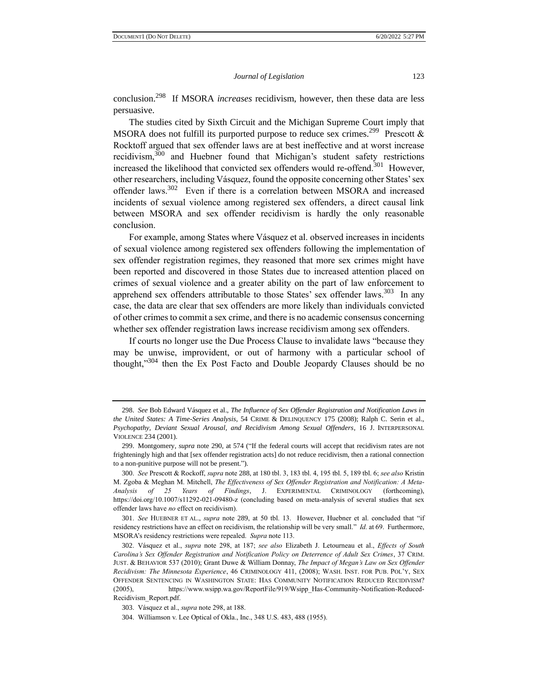conclusion.<sup>298</sup> If MSORA *increases* recidivism, however, then these data are less persuasive.

The studies cited by Sixth Circuit and the Michigan Supreme Court imply that MSORA does not fulfill its purported purpose to reduce sex crimes.<sup>299</sup> Prescott & Rocktoff argued that sex offender laws are at best ineffective and at worst increase recidivism,<sup>300</sup> and Huebner found that Michigan's student safety restrictions increased the likelihood that convicted sex offenders would re-offend.<sup>301</sup> However, other researchers, including Vásquez, found the opposite concerning other States' sex offender laws.<sup>302</sup> Even if there is a correlation between MSORA and increased incidents of sexual violence among registered sex offenders, a direct causal link between MSORA and sex offender recidivism is hardly the only reasonable conclusion.

For example, among States where Vásquez et al. observed increases in incidents of sexual violence among registered sex offenders following the implementation of sex offender registration regimes, they reasoned that more sex crimes might have been reported and discovered in those States due to increased attention placed on crimes of sexual violence and a greater ability on the part of law enforcement to apprehend sex offenders attributable to those States' sex offender laws.<sup>303</sup> In any case, the data are clear that sex offenders are more likely than individuals convicted of other crimes to commit a sex crime, and there is no academic consensus concerning whether sex offender registration laws increase recidivism among sex offenders.

If courts no longer use the Due Process Clause to invalidate laws "because they may be unwise, improvident, or out of harmony with a particular school of thought,"<sup>304</sup> then the Ex Post Facto and Double Jeopardy Clauses should be no

<sup>298.</sup> *See* Bob Edward Vásquez et al., *The Influence of Sex Offender Registration and Notification Laws in the United States: A Time-Series Analysis*, 54 CRIME & DELINQUENCY 175 (2008); Ralph C. Serin et al., *Psychopathy, Deviant Sexual Arousal, and Recidivism Among Sexual Offenders*, 16 J. INTERPERSONAL VIOLENCE 234 (2001).

<sup>299.</sup> Montgomery, *supra* note 290, at 574 ("If the federal courts will accept that recidivism rates are not frighteningly high and that [sex offender registration acts] do not reduce recidivism, then a rational connection to a non-punitive purpose will not be present.").

<sup>300.</sup> *See* Prescott & Rockoff, *supra* note 288, at 180 tbl. 3, 183 tbl. 4, 195 tbl. 5, 189 tbl. 6; *see also* Kristin M. Zgoba & Meghan M. Mitchell, *The Effectiveness of Sex Offender Registration and Notification: A Meta-Analysis of 25 Years of Findings*, J. EXPERIMENTAL CRIMINOLOGY (forthcoming), https://doi.org/10.1007/s11292-021-09480-z (concluding based on meta-analysis of several studies that sex offender laws have *no* effect on recidivism).

<sup>301.</sup> *See* HUEBNER ET AL., *supra* note 289, at 50 tbl. 13. However, Huebner et al. concluded that "if residency restrictions have an effect on recidivism, the relationship will be very small." *Id.* at 69. Furthermore, MSORA's residency restrictions were repealed. *Supra* note 113.

<sup>302.</sup> Vásquez et al., *supra* note 298, at 187; *see also* Elizabeth J. Letourneau et al., *Effects of South Carolina's Sex Offender Registration and Notification Policy on Deterrence of Adult Sex Crimes*, 37 CRIM. JUST. & BEHAVIOR 537 (2010); Grant Duwe & William Donnay, *The Impact of Megan's Law on Sex Offender Recidivism: The Minnesota Experience*, 46 CRIMINOLOGY 411, (2008); WASH. INST. FOR PUB. POL'Y, SEX OFFENDER SENTENCING IN WASHINGTON STATE: HAS COMMUNITY NOTIFICATION REDUCED RECIDIVISM? (2005), https://www.wsipp.wa.gov/ReportFile/919/Wsipp\_Has-Community-Notification-Reduced-Recidivism\_Report.pdf.

<sup>303.</sup> Vásquez et al., *supra* note 298, at 188.

<sup>304.</sup> Williamson v. Lee Optical of Okla., Inc., 348 U.S. 483, 488 (1955).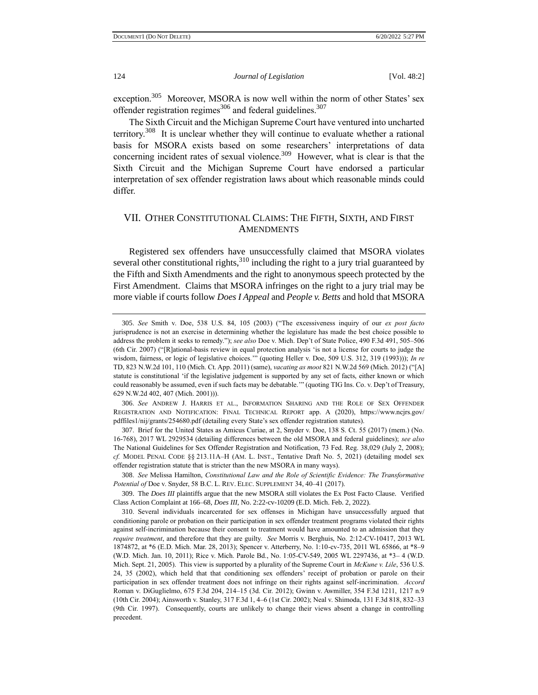exception.<sup>305</sup> Moreover, MSORA is now well within the norm of other States' sex offender registration regimes<sup>306</sup> and federal guidelines.<sup>307</sup>

The Sixth Circuit and the Michigan Supreme Court have ventured into uncharted territory.<sup>308</sup> It is unclear whether they will continue to evaluate whether a rational basis for MSORA exists based on some researchers' interpretations of data concerning incident rates of sexual violence.<sup>309</sup> However, what is clear is that the Sixth Circuit and the Michigan Supreme Court have endorsed a particular interpretation of sex offender registration laws about which reasonable minds could differ.

# VII. OTHER CONSTITUTIONAL CLAIMS: THE FIFTH, SIXTH, AND FIRST **AMENDMENTS**

Registered sex offenders have unsuccessfully claimed that MSORA violates several other constitutional rights, $3^{10}$  including the right to a jury trial guaranteed by the Fifth and Sixth Amendments and the right to anonymous speech protected by the First Amendment. Claims that MSORA infringes on the right to a jury trial may be more viable if courts follow *Does I Appeal* and *People v. Betts* and hold that MSORA

306. *See* ANDREW J. HARRIS ET AL., INFORMATION SHARING AND THE ROLE OF SEX OFFENDER REGISTRATION AND NOTIFICATION: FINAL TECHNICAL REPORT app. A (2020), https://www.ncjrs.gov/ pdffiles1/nij/grants/254680.pdf (detailing every State's sex offender registration statutes).

307. Brief for the United States as Amicus Curiae, at 2, Snyder v. Doe, 138 S. Ct. 55 (2017) (mem.) (No. 16-768), 2017 WL 2929534 (detailing differences between the old MSORA and federal guidelines); *see also* The National Guidelines for Sex Offender Registration and Notification, 73 Fed. Reg. 38,029 (July 2, 2008); *cf.* MODEL PENAL CODE §§ 213.11A–H (AM. L. INST., Tentative Draft No. 5, 2021) (detailing model sex offender registration statute that is stricter than the new MSORA in many ways).

308. *See* Melissa Hamilton, *Constitutional Law and the Role of Scientific Evidence: The Transformative Potential of* Doe v. Snyder, 58 B.C. L. REV. ELEC. SUPPLEMENT 34, 40–41 (2017).

310. Several individuals incarcerated for sex offenses in Michigan have unsuccessfully argued that conditioning parole or probation on their participation in sex offender treatment programs violated their rights against self-incrimination because their consent to treatment would have amounted to an admission that they *require treatment*, and therefore that they are guilty. *See* Morris v. Berghuis, No. 2:12-CV-10417, 2013 WL 1874872, at \*6 (E.D. Mich. Mar. 28, 2013); Spencer v. Atterberry, No. 1:10-cv-735, 2011 WL 65866, at \*8–9 (W.D. Mich. Jan. 10, 2011); Rice v. Mich. Parole Bd., No. 1:05-CV-549, 2005 WL 2297436, at \*3– 4 (W.D. Mich. Sept. 21, 2005). This view is supported by a plurality of the Supreme Court in *McKune v. Lile*, 536 U.S. 24, 35 (2002), which held that that conditioning sex offenders' receipt of probation or parole on their participation in sex offender treatment does not infringe on their rights against self-incrimination. *Accord*  Roman v. DiGuglielmo, 675 F.3d 204, 214–15 (3d. Cir. 2012); Gwinn v. Awmiller, 354 F.3d 1211, 1217 n.9 (10th Cir. 2004); Ainsworth v. Stanley, 317 F.3d 1, 4–6 (1st Cir. 2002); Neal v. Shimoda, 131 F.3d 818, 832–33 (9th Cir. 1997). Consequently, courts are unlikely to change their views absent a change in controlling precedent.

<sup>305.</sup> *See* Smith v. Doe, 538 U.S. 84, 105 (2003) ("The excessiveness inquiry of our *ex post facto* jurisprudence is not an exercise in determining whether the legislature has made the best choice possible to address the problem it seeks to remedy."); *see also* Doe v. Mich. Dep't of State Police, 490 F.3d 491, 505–506 (6th Cir. 2007) ("[R]ational-basis review in equal protection analysis 'is not a license for courts to judge the wisdom, fairness, or logic of legislative choices."" (quoting Heller v. Doe, 509 U.S. 312, 319 (1993))); *In re* TD, 823 N.W.2d 101, 110 (Mich. Ct. App. 2011) (same), *vacating as moot* 821 N.W.2d 569 (Mich. 2012) ("[A] statute is constitutional 'if the legislative judgement is supported by any set of facts, either known or which could reasonably be assumed, even if such facts may be debatable.'" (quoting TIG Ins. Co. v. Dep't of Treasury, 629 N.W.2d 402, 407 (Mich. 2001))).

<sup>309.</sup> The *Does III* plaintiffs argue that the new MSORA still violates the Ex Post Facto Clause. Verified Class Action Complaint at 166–68, *Does III*, No. 2:22-cv-10209 (E.D. Mich. Feb. 2, 2022).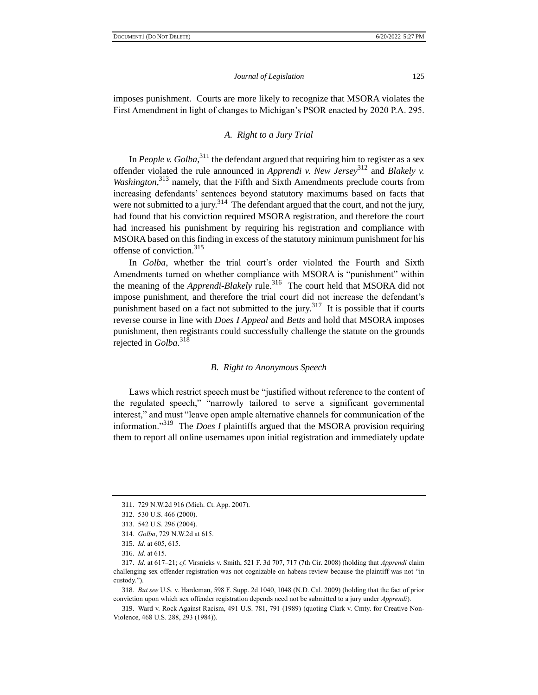imposes punishment. Courts are more likely to recognize that MSORA violates the First Amendment in light of changes to Michigan's PSOR enacted by 2020 P.A. 295.

## *A. Right to a Jury Trial*

In *People v. Golba*,  $311$  the defendant argued that requiring him to register as a sex offender violated the rule announced in *Apprendi v. New Jersey*<sup>312</sup> and *Blakely v.*  Washington,<sup>313</sup> namely, that the Fifth and Sixth Amendments preclude courts from increasing defendants' sentences beyond statutory maximums based on facts that were not submitted to a jury.<sup>314</sup> The defendant argued that the court, and not the jury, had found that his conviction required MSORA registration, and therefore the court had increased his punishment by requiring his registration and compliance with MSORA based on this finding in excess of the statutory minimum punishment for his offense of conviction.<sup>315</sup>

In *Golba*, whether the trial court's order violated the Fourth and Sixth Amendments turned on whether compliance with MSORA is "punishment" within the meaning of the *Apprendi-Blakely* rule.<sup>316</sup> The court held that MSORA did not impose punishment, and therefore the trial court did not increase the defendant's punishment based on a fact not submitted to the jury.<sup>317</sup> It is possible that if courts reverse course in line with *Does I Appeal* and *Betts* and hold that MSORA imposes punishment, then registrants could successfully challenge the statute on the grounds rejected in *Golba*. 318

#### *B. Right to Anonymous Speech*

Laws which restrict speech must be "justified without reference to the content of the regulated speech," "narrowly tailored to serve a significant governmental interest," and must "leave open ample alternative channels for communication of the information."<sup>319</sup> The *Does I* plaintiffs argued that the MSORA provision requiring them to report all online usernames upon initial registration and immediately update

318. *But see* U.S. v. Hardeman, 598 F. Supp. 2d 1040, 1048 (N.D. Cal. 2009) (holding that the fact of prior conviction upon which sex offender registration depends need not be submitted to a jury under *Apprendi*).

319. Ward v. Rock Against Racism, 491 U.S. 781, 791 (1989) (quoting Clark v. Cmty. for Creative Non-Violence, 468 U.S. 288, 293 (1984)).

<sup>311.</sup> 729 N.W.2d 916 (Mich. Ct. App. 2007).

<sup>312.</sup> 530 U.S. 466 (2000).

<sup>313.</sup> 542 U.S. 296 (2004).

<sup>314.</sup> *Golba*, 729 N.W.2d at 615.

<sup>315.</sup> *Id.* at 605, 615.

<sup>316.</sup> *Id.* at 615.

<sup>317.</sup> *Id.* at 617–21; *cf.* Virsnieks v. Smith, 521 F. 3d 707, 717 (7th Cir. 2008) (holding that *Apprendi* claim challenging sex offender registration was not cognizable on habeas review because the plaintiff was not "in custody.").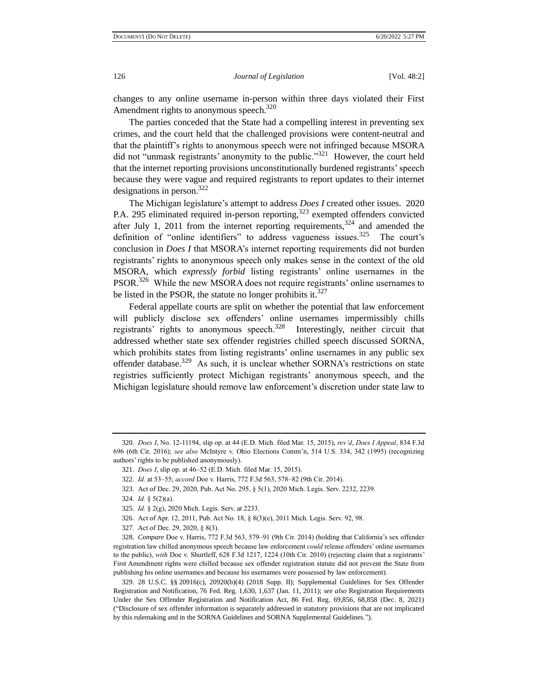changes to any online username in-person within three days violated their First Amendment rights to anonymous speech.<sup>320</sup>

The parties conceded that the State had a compelling interest in preventing sex crimes, and the court held that the challenged provisions were content-neutral and that the plaintiff's rights to anonymous speech were not infringed because MSORA did not "unmask registrants' anonymity to the public."<sup>321</sup> However, the court held that the internet reporting provisions unconstitutionally burdened registrants' speech because they were vague and required registrants to report updates to their internet designations in person. $322$ 

The Michigan legislature's attempt to address *Does I* created other issues. 2020 P.A. 295 eliminated required in-person reporting,<sup>323</sup> exempted offenders convicted after July 1, 2011 from the internet reporting requirements,  $324$  and amended the definition of "online identifiers" to address vagueness issues.<sup>325</sup> The court's conclusion in *Does I* that MSORA's internet reporting requirements did not burden registrants' rights to anonymous speech only makes sense in the context of the old MSORA, which *expressly forbid* listing registrants' online usernames in the PSOR.<sup>326</sup> While the new MSORA does not require registrants' online usernames to be listed in the PSOR, the statute no longer prohibits it.  $327$ 

Federal appellate courts are split on whether the potential that law enforcement will publicly disclose sex offenders' online usernames impermissibly chills registrants' rights to anonymous speech.<sup>328</sup> Interestingly, neither circuit that addressed whether state sex offender registries chilled speech discussed SORNA, which prohibits states from listing registrants' online usernames in any public sex offender database.<sup>329</sup> As such, it is unclear whether SORNA's restrictions on state registries sufficiently protect Michigan registrants' anonymous speech, and the Michigan legislature should remove law enforcement's discretion under state law to

<sup>320.</sup> *Does I*, No. 12-11194, slip op. at 44 (E.D. Mich. filed Mar. 15, 2015), *rev'd*, *Does I Appeal*, 834 F.3d 696 (6th Cir. 2016); *see also* McIntyre v. Ohio Elections Comm'n, 514 U.S. 334, 342 (1995) (recognizing authors' rights to be published anonymously).

<sup>321.</sup> *Does I*, slip op. at 46–52 (E.D. Mich. filed Mar. 15, 2015).

<sup>322.</sup> *Id.* at 53–55; *accord* Doe v. Harris, 772 F.3d 563, 578–82 (9th Cir. 2014).

<sup>323.</sup> Act of Dec. 29, 2020, Pub. Act No. 295, § 5(1), 2020 Mich. Legis. Serv. 2232, 2239.

<sup>324.</sup> *Id.* § 5(2)(a).

<sup>325.</sup> *Id.* § 2(g), 2020 Mich. Legis. Serv. at 2233.

<sup>326.</sup> Act of Apr. 12, 2011, Pub. Act No. 18, § 8(3)(e), 2011 Mich. Legis. Serv. 92, 98.

<sup>327.</sup> Act of Dec. 29, 2020, § 8(3).

<sup>328.</sup> *Compare* Doe v. Harris, 772 F.3d 563, 579–91 (9th Cir. 2014) (holding that California's sex offender registration law chilled anonymous speech because law enforcement *could* release offenders' online usernames to the public), *with* Doe v. Shurtleff, 628 F.3d 1217, 1224 (10th Cir. 2010) (rejecting claim that a registrants' First Amendment rights were chilled because sex offender registration statute did not prevent the State from publishing his online usernames and because his usernames were possessed by law enforcement).

<sup>329.</sup> 28 U.S.C. §§ 20916(c), 20920(b)(4) (2018 Supp. II); Supplemental Guidelines for Sex Offender Registration and Notification, 76 Fed. Reg. 1,630, 1,637 (Jan. 11, 2011); *see also* Registration Requirements Under the Sex Offender Registration and Notification Act, 86 Fed. Reg. 69,856, 68,858 (Dec. 8, 2021) ("Disclosure of sex offender information is separately addressed in statutory provisions that are not implicated by this rulemaking and in the SORNA Guidelines and SORNA Supplemental Guidelines.").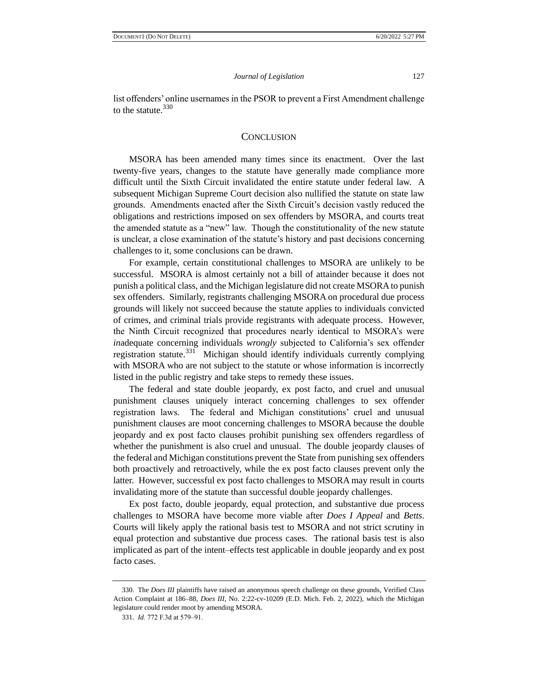list offenders' online usernames in the PSOR to prevent a First Amendment challenge to the statute.<sup>330</sup>

## **CONCLUSION**

MSORA has been amended many times since its enactment. Over the last twenty-five years, changes to the statute have generally made compliance more difficult until the Sixth Circuit invalidated the entire statute under federal law. A subsequent Michigan Supreme Court decision also nullified the statute on state law grounds. Amendments enacted after the Sixth Circuit's decision vastly reduced the obligations and restrictions imposed on sex offenders by MSORA, and courts treat the amended statute as a "new" law. Though the constitutionality of the new statute is unclear, a close examination of the statute's history and past decisions concerning challenges to it, some conclusions can be drawn.

For example, certain constitutional challenges to MSORA are unlikely to be successful. MSORA is almost certainly not a bill of attainder because it does not punish a political class, and the Michigan legislature did not create MSORA to punish sex offenders. Similarly, registrants challenging MSORA on procedural due process grounds will likely not succeed because the statute applies to individuals convicted of crimes, and criminal trials provide registrants with adequate process. However, the Ninth Circuit recognized that procedures nearly identical to MSORA's were *in*adequate concerning individuals *wrongly* subjected to California's sex offender registration statute.<sup>331</sup> Michigan should identify individuals currently complying with MSORA who are not subject to the statute or whose information is incorrectly listed in the public registry and take steps to remedy these issues.

The federal and state double jeopardy, ex post facto, and cruel and unusual punishment clauses uniquely interact concerning challenges to sex offender registration laws. The federal and Michigan constitutions' cruel and unusual punishment clauses are moot concerning challenges to MSORA because the double jeopardy and ex post facto clauses prohibit punishing sex offenders regardless of whether the punishment is also cruel and unusual. The double jeopardy clauses of the federal and Michigan constitutions prevent the State from punishing sex offenders both proactively and retroactively, while the ex post facto clauses prevent only the latter. However, successful ex post facto challenges to MSORA may result in courts invalidating more of the statute than successful double jeopardy challenges.

Ex post facto, double jeopardy, equal protection, and substantive due process challenges to MSORA have become more viable after *Does I Appeal* and *Betts*. Courts will likely apply the rational basis test to MSORA and not strict scrutiny in equal protection and substantive due process cases. The rational basis test is also implicated as part of the intent–effects test applicable in double jeopardy and ex post facto cases.

<sup>330.</sup> The *Does III* plaintiffs have raised an anonymous speech challenge on these grounds, Verified Class Action Complaint at 186–88, *Does III*, No. 2:22-cv-10209 (E.D. Mich. Feb. 2, 2022), which the Michigan legislature could render moot by amending MSORA.

<sup>331.</sup> *Id.* 772 F.3d at 579–91.